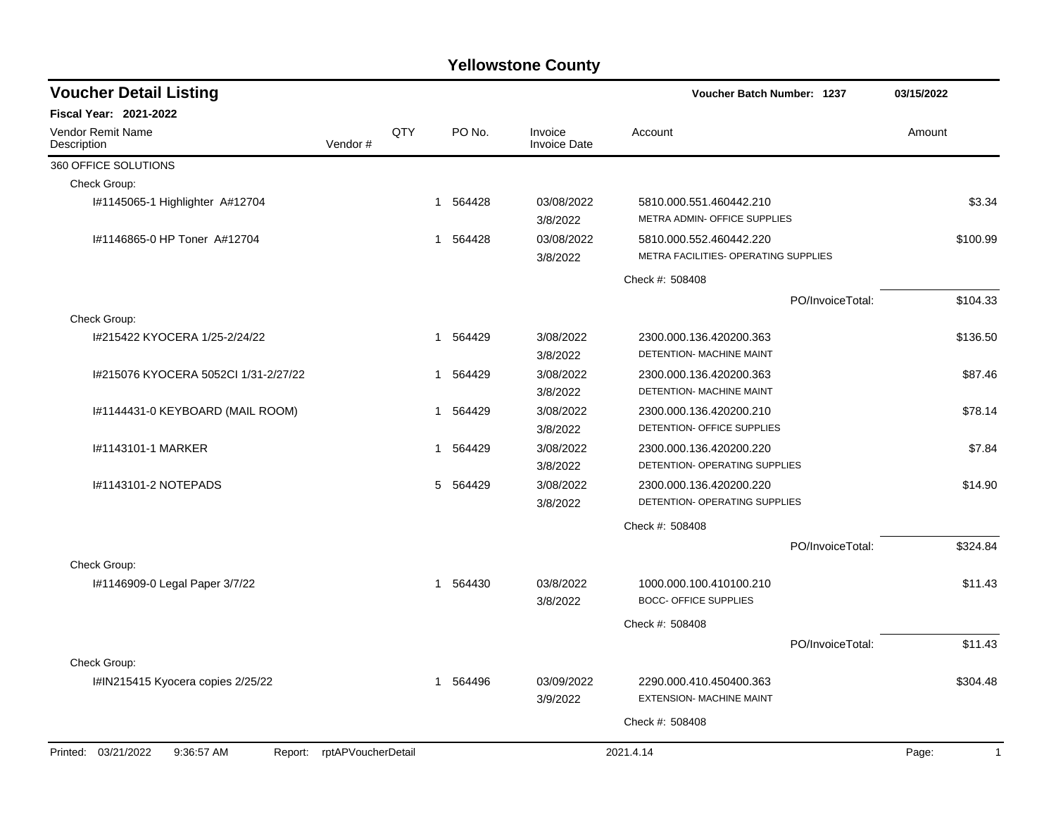| <b>Voucher Detail Listing</b>                 |                    |     |          |        |                                | <b>Voucher Batch Number: 1237</b>                               |                  | 03/15/2022   |
|-----------------------------------------------|--------------------|-----|----------|--------|--------------------------------|-----------------------------------------------------------------|------------------|--------------|
| <b>Fiscal Year: 2021-2022</b>                 |                    |     |          |        |                                |                                                                 |                  |              |
| Vendor Remit Name<br>Description              | Vendor#            | QTY |          | PO No. | Invoice<br><b>Invoice Date</b> | Account                                                         |                  | Amount       |
| 360 OFFICE SOLUTIONS                          |                    |     |          |        |                                |                                                                 |                  |              |
| Check Group:                                  |                    |     |          |        |                                |                                                                 |                  |              |
| I#1145065-1 Highlighter A#12704               |                    |     | 1 564428 |        | 03/08/2022<br>3/8/2022         | 5810.000.551.460442.210<br>METRA ADMIN- OFFICE SUPPLIES         |                  | \$3.34       |
| #1146865-0 HP Toner A#12704                   |                    |     | 1        | 564428 | 03/08/2022<br>3/8/2022         | 5810.000.552.460442.220<br>METRA FACILITIES- OPERATING SUPPLIES |                  | \$100.99     |
|                                               |                    |     |          |        |                                | Check #: 508408                                                 |                  |              |
|                                               |                    |     |          |        |                                |                                                                 | PO/InvoiceTotal: | \$104.33     |
| Check Group:                                  |                    |     |          |        |                                |                                                                 |                  |              |
| I#215422 KYOCERA 1/25-2/24/22                 |                    |     | 1        | 564429 | 3/08/2022<br>3/8/2022          | 2300.000.136.420200.363<br>DETENTION- MACHINE MAINT             |                  | \$136.50     |
| I#215076 KYOCERA 5052Cl 1/31-2/27/22          |                    |     | 1        | 564429 | 3/08/2022<br>3/8/2022          | 2300.000.136.420200.363<br>DETENTION- MACHINE MAINT             |                  | \$87.46      |
| I#1144431-0 KEYBOARD (MAIL ROOM)              |                    |     | 1 564429 |        | 3/08/2022<br>3/8/2022          | 2300.000.136.420200.210<br>DETENTION- OFFICE SUPPLIES           |                  | \$78.14      |
| 1#1143101-1 MARKER                            |                    |     | 1        | 564429 | 3/08/2022<br>3/8/2022          | 2300.000.136.420200.220<br>DETENTION- OPERATING SUPPLIES        |                  | \$7.84       |
| I#1143101-2 NOTEPADS                          |                    |     | 5 564429 |        | 3/08/2022<br>3/8/2022          | 2300.000.136.420200.220<br>DETENTION- OPERATING SUPPLIES        |                  | \$14.90      |
|                                               |                    |     |          |        |                                | Check #: 508408                                                 |                  |              |
|                                               |                    |     |          |        |                                |                                                                 | PO/InvoiceTotal: | \$324.84     |
| Check Group:<br>#1146909-0 Legal Paper 3/7/22 |                    |     | 1 564430 |        | 03/8/2022<br>3/8/2022          | 1000.000.100.410100.210<br><b>BOCC- OFFICE SUPPLIES</b>         |                  | \$11.43      |
|                                               |                    |     |          |        |                                | Check #: 508408                                                 |                  |              |
|                                               |                    |     |          |        |                                |                                                                 | PO/InvoiceTotal: | \$11.43      |
| Check Group:                                  |                    |     |          |        |                                |                                                                 |                  |              |
| I#IN215415 Kyocera copies 2/25/22             |                    |     | 1        | 564496 | 03/09/2022<br>3/9/2022         | 2290.000.410.450400.363<br>EXTENSION- MACHINE MAINT             |                  | \$304.48     |
|                                               |                    |     |          |        |                                | Check #: 508408                                                 |                  |              |
| Printed: 03/21/2022<br>9:36:57 AM             | rptAPVoucherDetail |     |          |        |                                | 2021.4.14                                                       |                  | $\mathbf{1}$ |
| Report:                                       |                    |     |          |        |                                |                                                                 |                  | Page:        |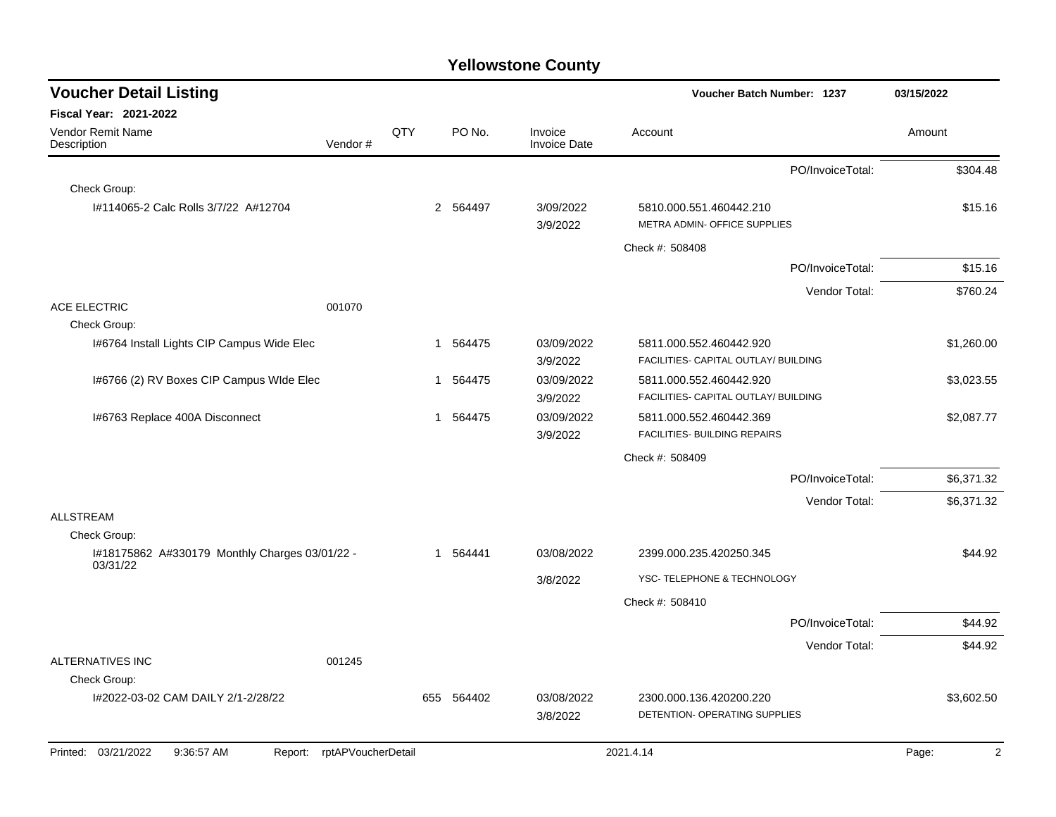| <b>Voucher Detail Listing</b>                              |                    |     |                        |                                | <b>Voucher Batch Number: 1237</b>                               | 03/15/2022              |
|------------------------------------------------------------|--------------------|-----|------------------------|--------------------------------|-----------------------------------------------------------------|-------------------------|
| <b>Fiscal Year: 2021-2022</b>                              |                    |     |                        |                                |                                                                 |                         |
| Vendor Remit Name<br>Description                           | Vendor#            | QTY | PO No.                 | Invoice<br><b>Invoice Date</b> | Account                                                         | Amount                  |
|                                                            |                    |     |                        |                                | PO/InvoiceTotal:                                                | \$304.48                |
| Check Group:                                               |                    |     |                        |                                |                                                                 |                         |
| #114065-2 Calc Rolls 3/7/22 A#12704                        |                    |     | 2 564497               | 3/09/2022<br>3/9/2022          | 5810.000.551.460442.210<br>METRA ADMIN- OFFICE SUPPLIES         | \$15.16                 |
|                                                            |                    |     |                        |                                | Check #: 508408                                                 |                         |
|                                                            |                    |     |                        |                                | PO/InvoiceTotal:                                                | \$15.16                 |
|                                                            |                    |     |                        |                                | Vendor Total:                                                   | \$760.24                |
| <b>ACE ELECTRIC</b>                                        | 001070             |     |                        |                                |                                                                 |                         |
| Check Group:                                               |                    |     |                        |                                |                                                                 |                         |
| 1#6764 Install Lights CIP Campus Wide Elec                 |                    |     | 564475<br>1            | 03/09/2022<br>3/9/2022         | 5811.000.552.460442.920<br>FACILITIES- CAPITAL OUTLAY/ BUILDING | \$1,260.00              |
| 1#6766 (2) RV Boxes CIP Campus WIde Elec                   |                    |     | 564475<br>$\mathbf{1}$ | 03/09/2022<br>3/9/2022         | 5811.000.552.460442.920<br>FACILITIES- CAPITAL OUTLAY/ BUILDING | \$3,023.55              |
| I#6763 Replace 400A Disconnect                             |                    |     | 564475<br>$\mathbf{1}$ | 03/09/2022<br>3/9/2022         | 5811.000.552.460442.369<br>FACILITIES- BUILDING REPAIRS         | \$2,087.77              |
|                                                            |                    |     |                        |                                | Check #: 508409                                                 |                         |
|                                                            |                    |     |                        |                                | PO/InvoiceTotal:                                                | \$6,371.32              |
|                                                            |                    |     |                        |                                | Vendor Total:                                                   | \$6,371.32              |
| <b>ALLSTREAM</b>                                           |                    |     |                        |                                |                                                                 |                         |
| Check Group:                                               |                    |     |                        |                                |                                                                 |                         |
| I#18175862 A#330179 Monthly Charges 03/01/22 -<br>03/31/22 |                    |     | 564441<br>1            | 03/08/2022                     | 2399.000.235.420250.345                                         | \$44.92                 |
|                                                            |                    |     |                        | 3/8/2022                       | YSC- TELEPHONE & TECHNOLOGY                                     |                         |
|                                                            |                    |     |                        |                                | Check #: 508410                                                 |                         |
|                                                            |                    |     |                        |                                | PO/InvoiceTotal:                                                | \$44.92                 |
|                                                            |                    |     |                        |                                | Vendor Total:                                                   | \$44.92                 |
| <b>ALTERNATIVES INC</b><br>Check Group:                    | 001245             |     |                        |                                |                                                                 |                         |
| I#2022-03-02 CAM DAILY 2/1-2/28/22                         |                    | 655 | 564402                 | 03/08/2022                     | 2300.000.136.420200.220                                         | \$3,602.50              |
|                                                            |                    |     |                        | 3/8/2022                       | DETENTION- OPERATING SUPPLIES                                   |                         |
| Printed: 03/21/2022<br>9:36:57 AM<br>Report:               | rptAPVoucherDetail |     |                        |                                | 2021.4.14                                                       | $\overline{2}$<br>Page: |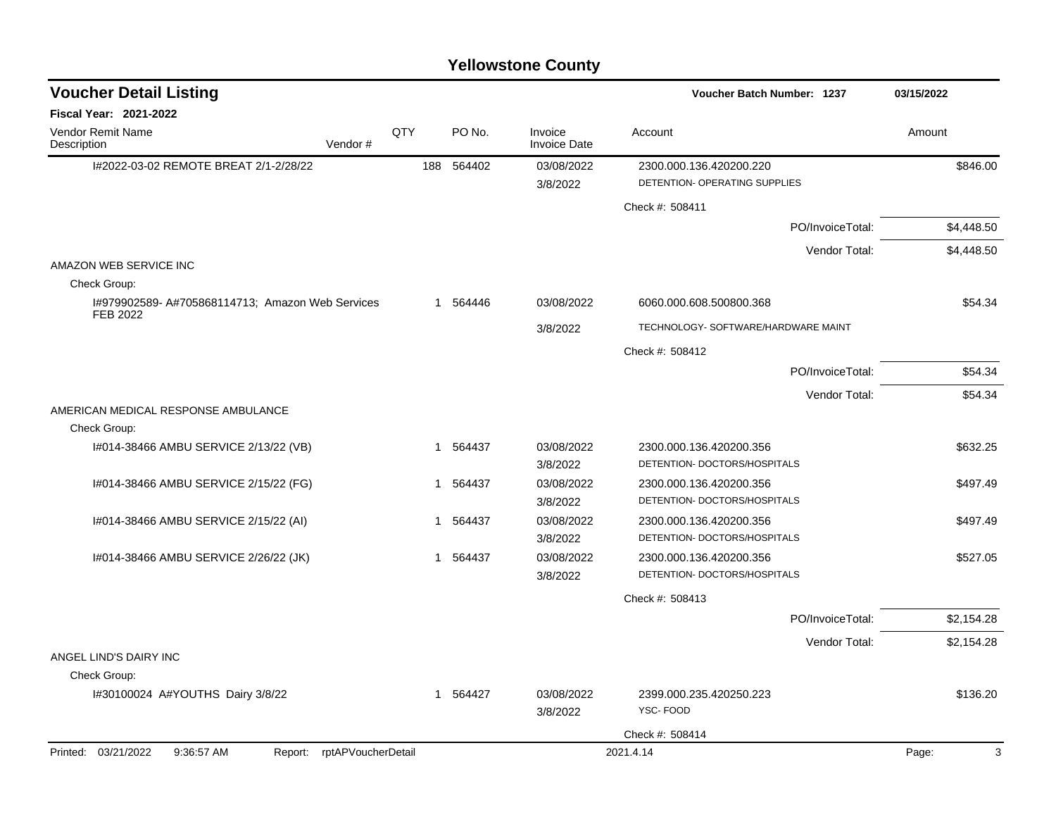| <b>Voucher Detail Listing</b>                                      |     |              |                                | <b>Voucher Batch Number: 1237</b>                        | 03/15/2022 |
|--------------------------------------------------------------------|-----|--------------|--------------------------------|----------------------------------------------------------|------------|
| <b>Fiscal Year: 2021-2022</b>                                      |     |              |                                |                                                          |            |
| <b>Vendor Remit Name</b><br>Description<br>Vendor#                 | QTY | PO No.       | Invoice<br><b>Invoice Date</b> | Account                                                  | Amount     |
| I#2022-03-02 REMOTE BREAT 2/1-2/28/22                              | 188 | 564402       | 03/08/2022<br>3/8/2022         | 2300.000.136.420200.220<br>DETENTION- OPERATING SUPPLIES | \$846.00   |
|                                                                    |     |              |                                | Check #: 508411                                          |            |
|                                                                    |     |              |                                | PO/InvoiceTotal:                                         | \$4,448.50 |
|                                                                    |     |              |                                | Vendor Total:                                            | \$4,448.50 |
| AMAZON WEB SERVICE INC<br>Check Group:                             |     |              |                                |                                                          |            |
| I#979902589- A#705868114713; Amazon Web Services<br>FEB 2022       |     | 1 564446     | 03/08/2022                     | 6060.000.608.500800.368                                  | \$54.34    |
|                                                                    |     |              | 3/8/2022                       | TECHNOLOGY- SOFTWARE/HARDWARE MAINT                      |            |
|                                                                    |     |              |                                | Check #: 508412                                          |            |
|                                                                    |     |              |                                | PO/InvoiceTotal:                                         | \$54.34    |
|                                                                    |     |              |                                | Vendor Total:                                            | \$54.34    |
| AMERICAN MEDICAL RESPONSE AMBULANCE                                |     |              |                                |                                                          |            |
| Check Group:<br>I#014-38466 AMBU SERVICE 2/13/22 (VB)              |     | 564437<br>-1 | 03/08/2022<br>3/8/2022         | 2300.000.136.420200.356<br>DETENTION- DOCTORS/HOSPITALS  | \$632.25   |
| I#014-38466 AMBU SERVICE 2/15/22 (FG)                              |     | 564437<br>-1 | 03/08/2022<br>3/8/2022         | 2300.000.136.420200.356<br>DETENTION- DOCTORS/HOSPITALS  | \$497.49   |
| I#014-38466 AMBU SERVICE 2/15/22 (AI)                              |     | 1 564437     | 03/08/2022<br>3/8/2022         | 2300.000.136.420200.356<br>DETENTION- DOCTORS/HOSPITALS  | \$497.49   |
| I#014-38466 AMBU SERVICE 2/26/22 (JK)                              |     | 1 564437     | 03/08/2022<br>3/8/2022         | 2300.000.136.420200.356<br>DETENTION- DOCTORS/HOSPITALS  | \$527.05   |
|                                                                    |     |              |                                | Check #: 508413                                          |            |
|                                                                    |     |              |                                | PO/InvoiceTotal:                                         | \$2,154.28 |
|                                                                    |     |              |                                | Vendor Total:                                            | \$2,154.28 |
| ANGEL LIND'S DAIRY INC<br>Check Group:                             |     |              |                                |                                                          |            |
| I#30100024 A#YOUTHS Dairy 3/8/22                                   |     | 1 564427     | 03/08/2022<br>3/8/2022         | 2399.000.235.420250.223<br>YSC-FOOD                      | \$136.20   |
|                                                                    |     |              |                                | Check #: 508414                                          |            |
| Printed: 03/21/2022<br>9:36:57 AM<br>rptAPVoucherDetail<br>Report: |     |              |                                | 2021.4.14                                                | 3<br>Page: |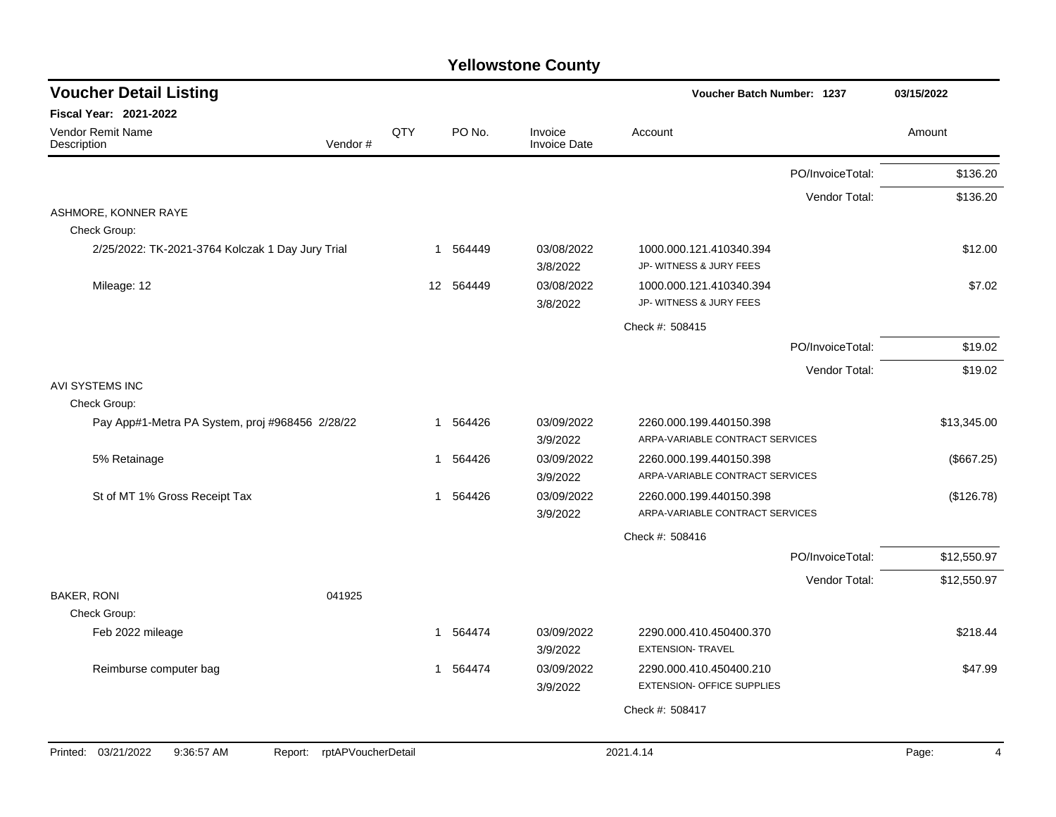| <b>Voucher Detail Listing</b>                    |                    |                 |        |                                | Voucher Batch Number: 1237                                 |                  | 03/15/2022  |
|--------------------------------------------------|--------------------|-----------------|--------|--------------------------------|------------------------------------------------------------|------------------|-------------|
| <b>Fiscal Year: 2021-2022</b>                    |                    |                 |        |                                |                                                            |                  |             |
| Vendor Remit Name<br>Description                 | Vendor#            | QTY             | PO No. | Invoice<br><b>Invoice Date</b> | Account                                                    |                  | Amount      |
|                                                  |                    |                 |        |                                |                                                            | PO/InvoiceTotal: | \$136.20    |
|                                                  |                    |                 |        |                                |                                                            | Vendor Total:    | \$136.20    |
| ASHMORE, KONNER RAYE                             |                    |                 |        |                                |                                                            |                  |             |
| Check Group:                                     |                    |                 |        |                                |                                                            |                  |             |
| 2/25/2022: TK-2021-3764 Kolczak 1 Day Jury Trial |                    | $\mathbf 1$     | 564449 | 03/08/2022<br>3/8/2022         | 1000.000.121.410340.394<br>JP- WITNESS & JURY FEES         |                  | \$12.00     |
| Mileage: 12                                      |                    | 12 <sup>2</sup> | 564449 | 03/08/2022<br>3/8/2022         | 1000.000.121.410340.394<br>JP- WITNESS & JURY FEES         |                  | \$7.02      |
|                                                  |                    |                 |        |                                | Check #: 508415                                            |                  |             |
|                                                  |                    |                 |        |                                |                                                            | PO/InvoiceTotal: | \$19.02     |
|                                                  |                    |                 |        |                                |                                                            | Vendor Total:    | \$19.02     |
| AVI SYSTEMS INC                                  |                    |                 |        |                                |                                                            |                  |             |
| Check Group:                                     |                    |                 |        |                                |                                                            |                  |             |
| Pay App#1-Metra PA System, proj #968456 2/28/22  |                    | 1               | 564426 | 03/09/2022                     | 2260.000.199.440150.398                                    |                  | \$13,345.00 |
|                                                  |                    |                 |        | 3/9/2022                       | ARPA-VARIABLE CONTRACT SERVICES                            |                  |             |
| 5% Retainage                                     |                    | 1               | 564426 | 03/09/2022<br>3/9/2022         | 2260.000.199.440150.398<br>ARPA-VARIABLE CONTRACT SERVICES |                  | (\$667.25)  |
| St of MT 1% Gross Receipt Tax                    |                    | 1               | 564426 | 03/09/2022                     | 2260.000.199.440150.398                                    |                  | (\$126.78)  |
|                                                  |                    |                 |        | 3/9/2022                       | ARPA-VARIABLE CONTRACT SERVICES                            |                  |             |
|                                                  |                    |                 |        |                                | Check #: 508416                                            |                  |             |
|                                                  |                    |                 |        |                                |                                                            | PO/InvoiceTotal: | \$12,550.97 |
|                                                  |                    |                 |        |                                |                                                            | Vendor Total:    | \$12,550.97 |
| <b>BAKER, RONI</b>                               | 041925             |                 |        |                                |                                                            |                  |             |
| Check Group:                                     |                    |                 |        |                                |                                                            |                  |             |
| Feb 2022 mileage                                 |                    | $\mathbf 1$     | 564474 | 03/09/2022<br>3/9/2022         | 2290.000.410.450400.370<br><b>EXTENSION- TRAVEL</b>        |                  | \$218.44    |
| Reimburse computer bag                           |                    | $\mathbf{1}$    | 564474 | 03/09/2022                     | 2290.000.410.450400.210                                    |                  | \$47.99     |
|                                                  |                    |                 |        | 3/9/2022                       | <b>EXTENSION- OFFICE SUPPLIES</b>                          |                  |             |
|                                                  |                    |                 |        |                                | Check #: 508417                                            |                  |             |
|                                                  |                    |                 |        |                                |                                                            |                  |             |
| Printed: 03/21/2022<br>9:36:57 AM<br>Report:     | rptAPVoucherDetail |                 |        |                                | 2021.4.14                                                  |                  | Page:<br>4  |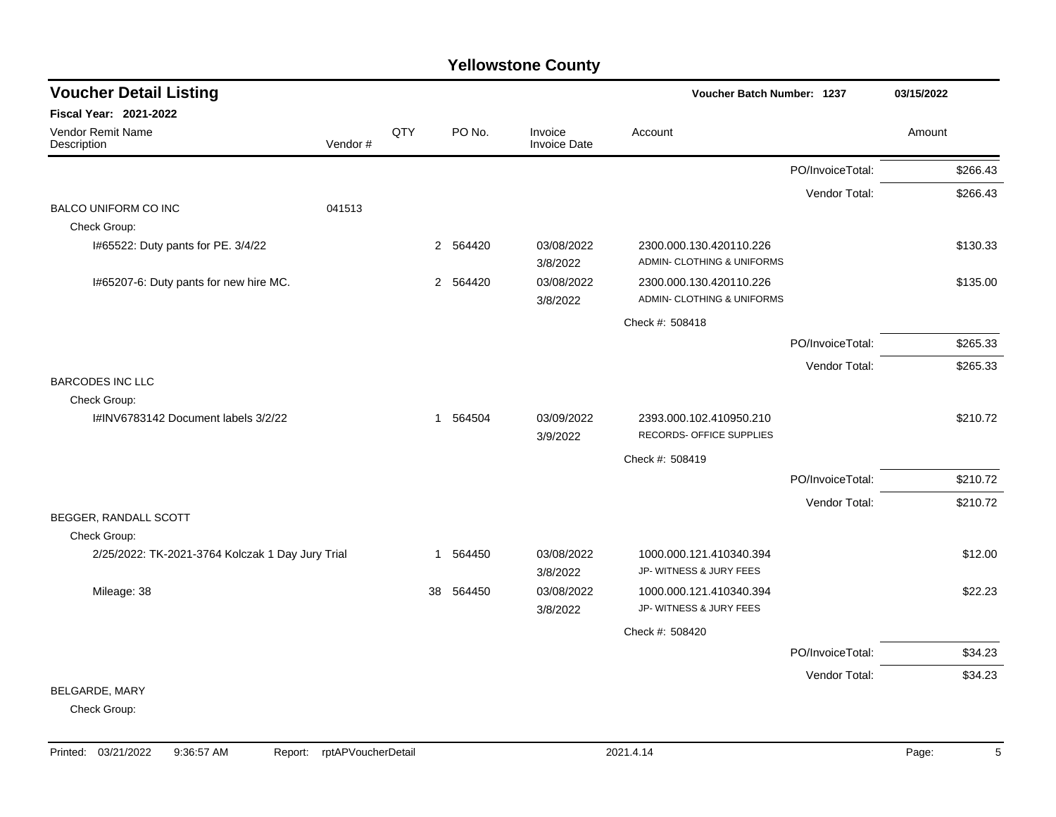| <b>Voucher Detail Listing</b>                    |         |              |          |                                | Voucher Batch Number: 1237                            |                  | 03/15/2022 |
|--------------------------------------------------|---------|--------------|----------|--------------------------------|-------------------------------------------------------|------------------|------------|
| Fiscal Year: 2021-2022                           |         |              |          |                                |                                                       |                  |            |
| Vendor Remit Name<br>Description                 | Vendor# | QTY          | PO No.   | Invoice<br><b>Invoice Date</b> | Account                                               |                  | Amount     |
|                                                  |         |              |          |                                |                                                       | PO/InvoiceTotal: | \$266.43   |
|                                                  |         |              |          |                                |                                                       | Vendor Total:    | \$266.43   |
| BALCO UNIFORM CO INC                             | 041513  |              |          |                                |                                                       |                  |            |
| Check Group:                                     |         |              |          |                                |                                                       |                  |            |
| I#65522: Duty pants for PE. 3/4/22               |         |              | 2 564420 | 03/08/2022<br>3/8/2022         | 2300.000.130.420110.226<br>ADMIN- CLOTHING & UNIFORMS |                  | \$130.33   |
| I#65207-6: Duty pants for new hire MC.           |         |              | 2 564420 | 03/08/2022<br>3/8/2022         | 2300.000.130.420110.226<br>ADMIN- CLOTHING & UNIFORMS |                  | \$135.00   |
|                                                  |         |              |          |                                | Check #: 508418                                       |                  |            |
|                                                  |         |              |          |                                |                                                       | PO/InvoiceTotal: | \$265.33   |
|                                                  |         |              |          |                                |                                                       | Vendor Total:    | \$265.33   |
| <b>BARCODES INC LLC</b>                          |         |              |          |                                |                                                       |                  |            |
| Check Group:                                     |         |              |          |                                |                                                       |                  |            |
| I#INV6783142 Document labels 3/2/22              |         | $\mathbf{1}$ | 564504   | 03/09/2022<br>3/9/2022         | 2393.000.102.410950.210<br>RECORDS- OFFICE SUPPLIES   |                  | \$210.72   |
|                                                  |         |              |          |                                | Check #: 508419                                       |                  |            |
|                                                  |         |              |          |                                |                                                       | PO/InvoiceTotal: | \$210.72   |
|                                                  |         |              |          |                                |                                                       | Vendor Total:    | \$210.72   |
| BEGGER, RANDALL SCOTT                            |         |              |          |                                |                                                       |                  |            |
| Check Group:                                     |         |              |          |                                |                                                       |                  |            |
| 2/25/2022: TK-2021-3764 Kolczak 1 Day Jury Trial |         | 1            | 564450   | 03/08/2022<br>3/8/2022         | 1000.000.121.410340.394<br>JP- WITNESS & JURY FEES    |                  | \$12.00    |
| Mileage: 38                                      |         | 38           | 564450   | 03/08/2022<br>3/8/2022         | 1000.000.121.410340.394<br>JP- WITNESS & JURY FEES    |                  | \$22.23    |
|                                                  |         |              |          |                                | Check #: 508420                                       |                  |            |
|                                                  |         |              |          |                                |                                                       | PO/InvoiceTotal: | \$34.23    |
|                                                  |         |              |          |                                |                                                       | Vendor Total:    | \$34.23    |
| BELGARDE, MARY                                   |         |              |          |                                |                                                       |                  |            |
| Check Group:                                     |         |              |          |                                |                                                       |                  |            |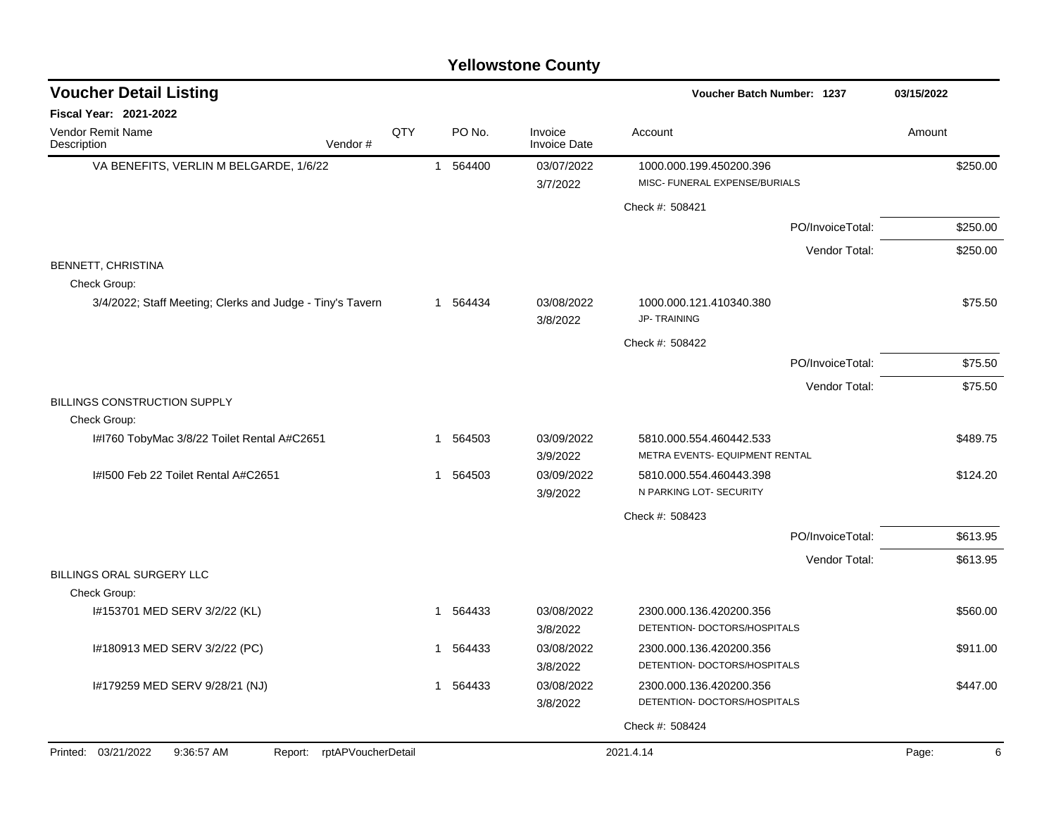| <b>Voucher Detail Listing</b>                                      |     |    |          |                                | <b>Voucher Batch Number: 1237</b>                       |                  | 03/15/2022 |
|--------------------------------------------------------------------|-----|----|----------|--------------------------------|---------------------------------------------------------|------------------|------------|
| Fiscal Year: 2021-2022                                             |     |    |          |                                |                                                         |                  |            |
| Vendor Remit Name<br>Description<br>Vendor#                        | QTY |    | PO No.   | Invoice<br><b>Invoice Date</b> | Account                                                 |                  | Amount     |
| VA BENEFITS, VERLIN M BELGARDE, 1/6/22                             |     |    | 1 564400 | 03/07/2022                     | 1000.000.199.450200.396                                 |                  | \$250.00   |
|                                                                    |     |    |          | 3/7/2022                       | MISC- FUNERAL EXPENSE/BURIALS                           |                  |            |
|                                                                    |     |    |          |                                | Check #: 508421                                         |                  |            |
|                                                                    |     |    |          |                                |                                                         | PO/InvoiceTotal: | \$250.00   |
|                                                                    |     |    |          |                                |                                                         | Vendor Total:    | \$250.00   |
| BENNETT, CHRISTINA<br>Check Group:                                 |     |    |          |                                |                                                         |                  |            |
| 3/4/2022; Staff Meeting; Clerks and Judge - Tiny's Tavern          |     |    | 1 564434 | 03/08/2022<br>3/8/2022         | 1000.000.121.410340.380<br><b>JP-TRAINING</b>           |                  | \$75.50    |
|                                                                    |     |    |          |                                | Check #: 508422                                         |                  |            |
|                                                                    |     |    |          |                                |                                                         | PO/InvoiceTotal: | \$75.50    |
|                                                                    |     |    |          |                                |                                                         | Vendor Total:    | \$75.50    |
| BILLINGS CONSTRUCTION SUPPLY<br>Check Group:                       |     |    |          |                                |                                                         |                  |            |
| I#I760 TobyMac 3/8/22 Toilet Rental A#C2651                        |     | -1 | 564503   | 03/09/2022                     | 5810.000.554.460442.533                                 |                  | \$489.75   |
|                                                                    |     |    |          | 3/9/2022                       | METRA EVENTS- EQUIPMENT RENTAL                          |                  |            |
| I#1500 Feb 22 Toilet Rental A#C2651                                |     |    | 1 564503 | 03/09/2022<br>3/9/2022         | 5810.000.554.460443.398<br>N PARKING LOT- SECURITY      |                  | \$124.20   |
|                                                                    |     |    |          |                                | Check #: 508423                                         |                  |            |
|                                                                    |     |    |          |                                |                                                         | PO/InvoiceTotal: | \$613.95   |
|                                                                    |     |    |          |                                |                                                         | Vendor Total:    | \$613.95   |
| BILLINGS ORAL SURGERY LLC                                          |     |    |          |                                |                                                         |                  |            |
| Check Group:                                                       |     |    |          |                                |                                                         |                  |            |
| I#153701 MED SERV 3/2/22 (KL)                                      |     | 1  | 564433   | 03/08/2022<br>3/8/2022         | 2300.000.136.420200.356<br>DETENTION- DOCTORS/HOSPITALS |                  | \$560.00   |
| I#180913 MED SERV 3/2/22 (PC)                                      |     |    | 1 564433 | 03/08/2022                     | 2300.000.136.420200.356                                 |                  | \$911.00   |
|                                                                    |     |    |          | 3/8/2022                       | DETENTION- DOCTORS/HOSPITALS                            |                  |            |
| I#179259 MED SERV 9/28/21 (NJ)                                     |     |    | 1 564433 | 03/08/2022                     | 2300.000.136.420200.356                                 |                  | \$447.00   |
|                                                                    |     |    |          | 3/8/2022                       | DETENTION- DOCTORS/HOSPITALS                            |                  |            |
|                                                                    |     |    |          |                                | Check #: 508424                                         |                  |            |
| Printed: 03/21/2022<br>9:36:57 AM<br>rptAPVoucherDetail<br>Report: |     |    |          |                                | 2021.4.14                                               |                  | Page:<br>6 |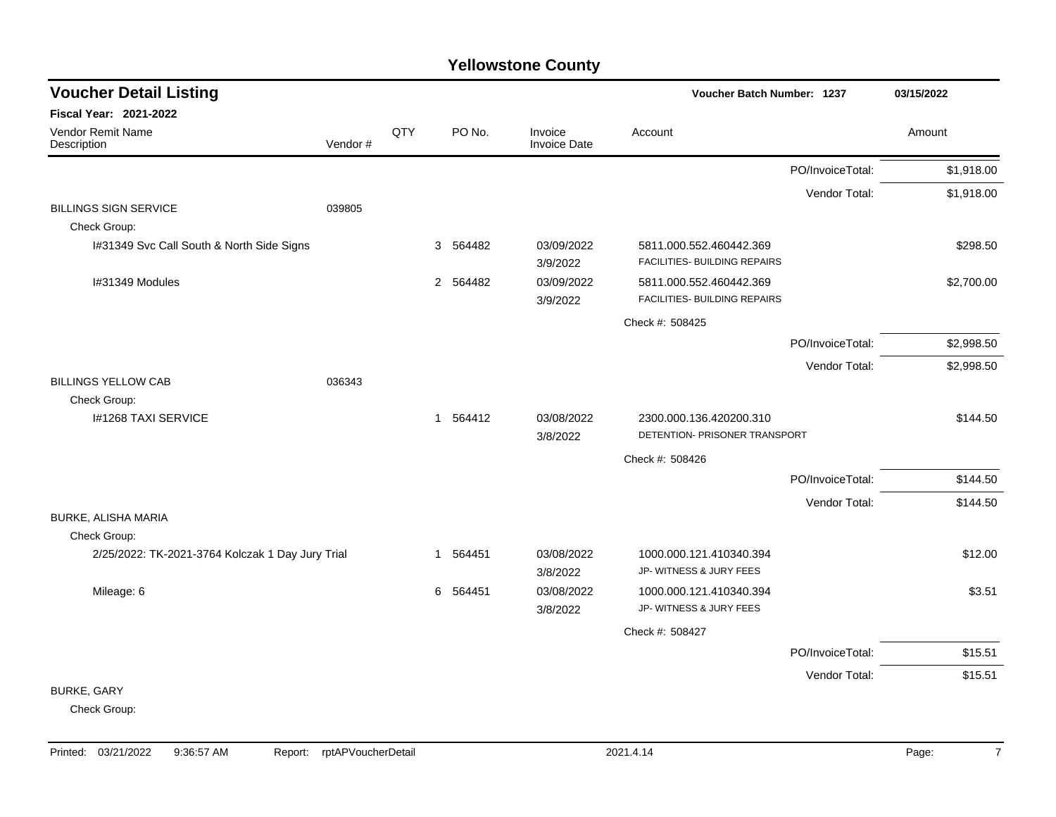| <b>Voucher Detail Listing</b>                    |         |     |                          | Voucher Batch Number: 1237     |                                                         | 03/15/2022       |            |
|--------------------------------------------------|---------|-----|--------------------------|--------------------------------|---------------------------------------------------------|------------------|------------|
| <b>Fiscal Year: 2021-2022</b>                    |         |     |                          |                                |                                                         |                  |            |
| Vendor Remit Name<br>Description                 | Vendor# | QTY | PO No.                   | Invoice<br><b>Invoice Date</b> | Account                                                 |                  | Amount     |
|                                                  |         |     |                          |                                |                                                         | PO/InvoiceTotal: | \$1,918.00 |
|                                                  |         |     |                          |                                |                                                         | Vendor Total:    | \$1,918.00 |
| <b>BILLINGS SIGN SERVICE</b>                     | 039805  |     |                          |                                |                                                         |                  |            |
| Check Group:                                     |         |     |                          |                                |                                                         |                  |            |
| I#31349 Svc Call South & North Side Signs        |         |     | 3 564482                 | 03/09/2022<br>3/9/2022         | 5811.000.552.460442.369<br>FACILITIES- BUILDING REPAIRS |                  | \$298.50   |
| I#31349 Modules                                  |         |     | $\overline{2}$<br>564482 | 03/09/2022<br>3/9/2022         | 5811.000.552.460442.369<br>FACILITIES- BUILDING REPAIRS |                  | \$2,700.00 |
|                                                  |         |     |                          |                                | Check #: 508425                                         |                  |            |
|                                                  |         |     |                          |                                |                                                         | PO/InvoiceTotal: | \$2,998.50 |
|                                                  |         |     |                          |                                |                                                         | Vendor Total:    | \$2,998.50 |
| <b>BILLINGS YELLOW CAB</b>                       | 036343  |     |                          |                                |                                                         |                  |            |
| Check Group:                                     |         |     |                          |                                |                                                         |                  |            |
| <b>I#1268 TAXI SERVICE</b>                       |         |     | 1 564412                 | 03/08/2022                     | 2300.000.136.420200.310                                 |                  | \$144.50   |
|                                                  |         |     |                          | 3/8/2022                       | DETENTION- PRISONER TRANSPORT                           |                  |            |
|                                                  |         |     |                          |                                | Check #: 508426                                         |                  |            |
|                                                  |         |     |                          |                                |                                                         | PO/InvoiceTotal: | \$144.50   |
|                                                  |         |     |                          |                                |                                                         | Vendor Total:    | \$144.50   |
| <b>BURKE, ALISHA MARIA</b>                       |         |     |                          |                                |                                                         |                  |            |
| Check Group:                                     |         |     |                          |                                |                                                         |                  |            |
| 2/25/2022: TK-2021-3764 Kolczak 1 Day Jury Trial |         |     | 564451<br>1              | 03/08/2022<br>3/8/2022         | 1000.000.121.410340.394<br>JP-WITNESS & JURY FEES       |                  | \$12.00    |
| Mileage: 6                                       |         |     | 564451<br>6              | 03/08/2022<br>3/8/2022         | 1000.000.121.410340.394<br>JP- WITNESS & JURY FEES      |                  | \$3.51     |
|                                                  |         |     |                          |                                | Check #: 508427                                         |                  |            |
|                                                  |         |     |                          |                                |                                                         | PO/InvoiceTotal: | \$15.51    |
|                                                  |         |     |                          |                                |                                                         | Vendor Total:    | \$15.51    |
| <b>BURKE, GARY</b>                               |         |     |                          |                                |                                                         |                  |            |
| Check Group:                                     |         |     |                          |                                |                                                         |                  |            |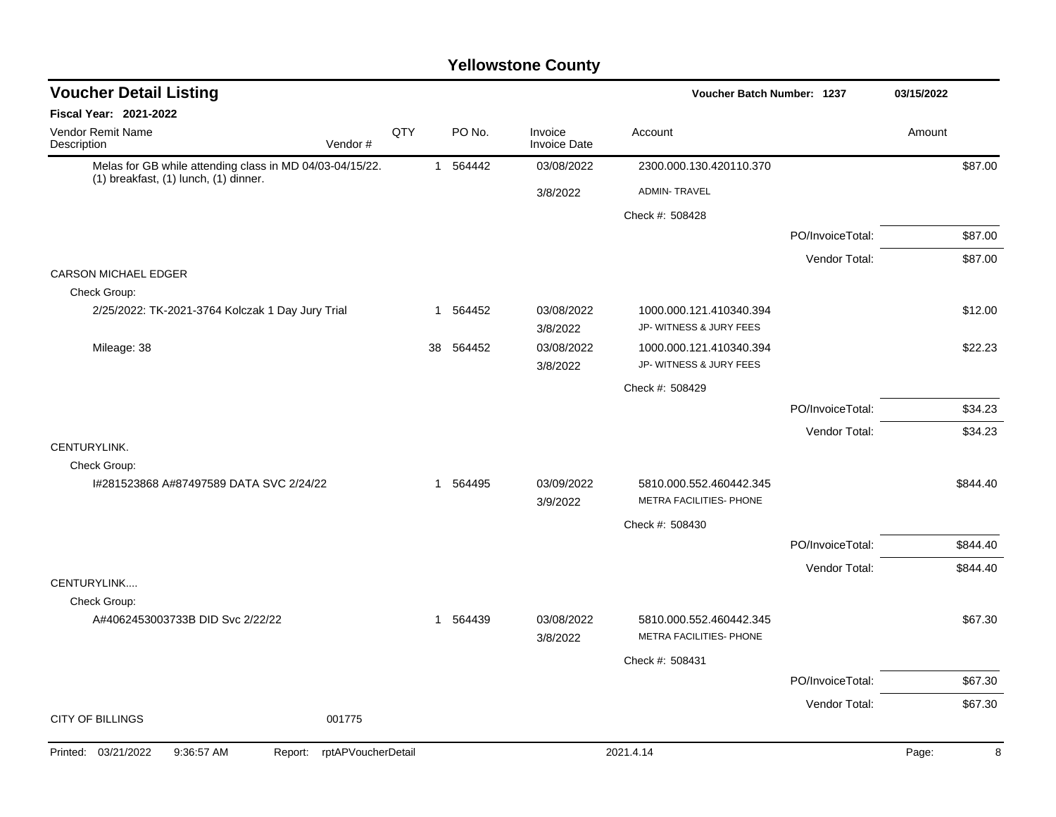| <b>Voucher Detail Listing</b>                                                                     |     |    |          |                         | <b>Voucher Batch Number: 1237</b>                  |                  | 03/15/2022 |          |
|---------------------------------------------------------------------------------------------------|-----|----|----------|-------------------------|----------------------------------------------------|------------------|------------|----------|
| Fiscal Year: 2021-2022                                                                            |     |    |          |                         |                                                    |                  |            |          |
| Vendor Remit Name<br>Description<br>Vendor#                                                       | QTY |    | PO No.   | Invoice<br>Invoice Date | Account                                            |                  | Amount     |          |
| Melas for GB while attending class in MD 04/03-04/15/22.<br>(1) breakfast, (1) lunch, (1) dinner. |     |    | 1 564442 | 03/08/2022              | 2300.000.130.420110.370                            |                  |            | \$87.00  |
|                                                                                                   |     |    |          | 3/8/2022                | <b>ADMIN-TRAVEL</b>                                |                  |            |          |
|                                                                                                   |     |    |          |                         | Check #: 508428                                    |                  |            |          |
|                                                                                                   |     |    |          |                         |                                                    | PO/InvoiceTotal: |            | \$87.00  |
|                                                                                                   |     |    |          |                         |                                                    | Vendor Total:    |            | \$87.00  |
| <b>CARSON MICHAEL EDGER</b>                                                                       |     |    |          |                         |                                                    |                  |            |          |
| Check Group:                                                                                      |     |    |          |                         |                                                    |                  |            |          |
| 2/25/2022: TK-2021-3764 Kolczak 1 Day Jury Trial                                                  |     | 1  | 564452   | 03/08/2022<br>3/8/2022  | 1000.000.121.410340.394<br>JP- WITNESS & JURY FEES |                  |            | \$12.00  |
| Mileage: 38                                                                                       |     | 38 | 564452   | 03/08/2022              | 1000.000.121.410340.394                            |                  |            | \$22.23  |
|                                                                                                   |     |    |          | 3/8/2022                | JP- WITNESS & JURY FEES                            |                  |            |          |
|                                                                                                   |     |    |          |                         | Check #: 508429                                    |                  |            |          |
|                                                                                                   |     |    |          |                         |                                                    | PO/InvoiceTotal: |            | \$34.23  |
|                                                                                                   |     |    |          |                         |                                                    | Vendor Total:    |            | \$34.23  |
| CENTURYLINK.                                                                                      |     |    |          |                         |                                                    |                  |            |          |
| Check Group:                                                                                      |     |    |          |                         |                                                    |                  |            |          |
| I#281523868 A#87497589 DATA SVC 2/24/22                                                           |     | 1  | 564495   | 03/09/2022<br>3/9/2022  | 5810.000.552.460442.345<br>METRA FACILITIES- PHONE |                  |            | \$844.40 |
|                                                                                                   |     |    |          |                         | Check #: 508430                                    |                  |            |          |
|                                                                                                   |     |    |          |                         |                                                    | PO/InvoiceTotal: |            | \$844.40 |
|                                                                                                   |     |    |          |                         |                                                    | Vendor Total:    |            | \$844.40 |
| CENTURYLINK                                                                                       |     |    |          |                         |                                                    |                  |            |          |
| Check Group:<br>A#4062453003733B DID Svc 2/22/22                                                  |     |    | 1 564439 | 03/08/2022              | 5810.000.552.460442.345                            |                  |            | \$67.30  |
|                                                                                                   |     |    |          | 3/8/2022                | METRA FACILITIES- PHONE                            |                  |            |          |
|                                                                                                   |     |    |          |                         | Check #: 508431                                    |                  |            |          |
|                                                                                                   |     |    |          |                         |                                                    | PO/InvoiceTotal: |            | \$67.30  |
|                                                                                                   |     |    |          |                         |                                                    | Vendor Total:    |            | \$67.30  |
| <b>CITY OF BILLINGS</b><br>001775                                                                 |     |    |          |                         |                                                    |                  |            |          |
| Printed: 03/21/2022<br>9:36:57 AM<br>rptAPVoucherDetail<br>Report:                                |     |    |          |                         | 2021.4.14                                          |                  | Page:      | 8        |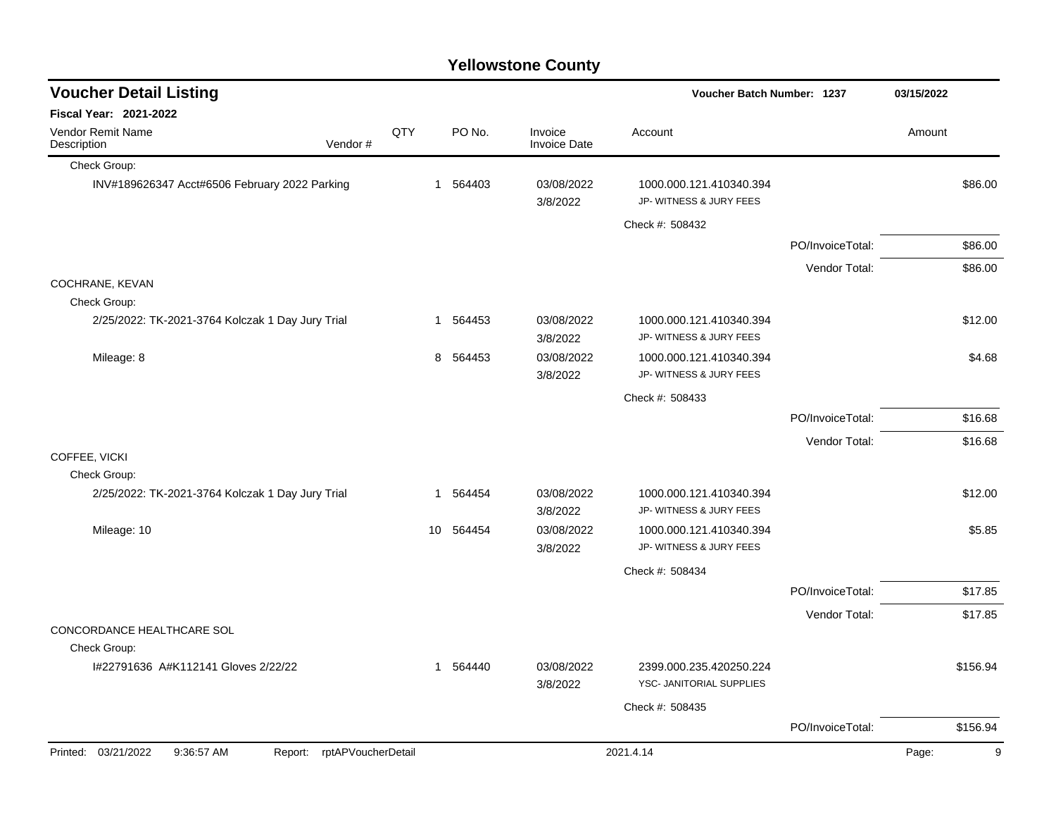| <b>Voucher Detail Listing</b>                                   |     |          |                                | <b>Voucher Batch Number: 1237</b>                   |                  | 03/15/2022 |
|-----------------------------------------------------------------|-----|----------|--------------------------------|-----------------------------------------------------|------------------|------------|
| <b>Fiscal Year: 2021-2022</b>                                   |     |          |                                |                                                     |                  |            |
| Vendor Remit Name<br>Description<br>Vendor#                     | QTY | PO No.   | Invoice<br><b>Invoice Date</b> | Account                                             |                  | Amount     |
| Check Group:                                                    |     |          |                                |                                                     |                  |            |
| INV#189626347 Acct#6506 February 2022 Parking                   |     | 1 564403 | 03/08/2022<br>3/8/2022         | 1000.000.121.410340.394<br>JP- WITNESS & JURY FEES  |                  | \$86.00    |
|                                                                 |     |          |                                | Check #: 508432                                     |                  |            |
|                                                                 |     |          |                                |                                                     | PO/InvoiceTotal: | \$86.00    |
|                                                                 |     |          |                                |                                                     | Vendor Total:    | \$86.00    |
| COCHRANE, KEVAN                                                 |     |          |                                |                                                     |                  |            |
| Check Group:                                                    |     |          |                                |                                                     |                  |            |
| 2/25/2022: TK-2021-3764 Kolczak 1 Day Jury Trial                |     | 1 564453 | 03/08/2022<br>3/8/2022         | 1000.000.121.410340.394<br>JP- WITNESS & JURY FEES  |                  | \$12.00    |
| Mileage: 8                                                      | 8   | 564453   | 03/08/2022<br>3/8/2022         | 1000.000.121.410340.394<br>JP- WITNESS & JURY FEES  |                  | \$4.68     |
|                                                                 |     |          |                                | Check #: 508433                                     |                  |            |
|                                                                 |     |          |                                |                                                     | PO/InvoiceTotal: | \$16.68    |
|                                                                 |     |          |                                |                                                     | Vendor Total:    | \$16.68    |
| COFFEE, VICKI                                                   |     |          |                                |                                                     |                  |            |
| Check Group:                                                    |     |          |                                |                                                     |                  |            |
| 2/25/2022: TK-2021-3764 Kolczak 1 Day Jury Trial                | -1  | 564454   | 03/08/2022<br>3/8/2022         | 1000.000.121.410340.394<br>JP- WITNESS & JURY FEES  |                  | \$12.00    |
| Mileage: 10                                                     | 10  | 564454   | 03/08/2022                     | 1000.000.121.410340.394                             |                  | \$5.85     |
|                                                                 |     |          | 3/8/2022                       | JP- WITNESS & JURY FEES                             |                  |            |
|                                                                 |     |          |                                | Check #: 508434                                     |                  |            |
|                                                                 |     |          |                                |                                                     | PO/InvoiceTotal: | \$17.85    |
|                                                                 |     |          |                                |                                                     | Vendor Total:    | \$17.85    |
| CONCORDANCE HEALTHCARE SOL                                      |     |          |                                |                                                     |                  |            |
| Check Group:                                                    |     |          |                                |                                                     |                  |            |
| I#22791636 A#K112141 Gloves 2/22/22                             | -1  | 564440   | 03/08/2022<br>3/8/2022         | 2399.000.235.420250.224<br>YSC- JANITORIAL SUPPLIES |                  | \$156.94   |
|                                                                 |     |          |                                | Check #: 508435                                     |                  |            |
|                                                                 |     |          |                                |                                                     | PO/InvoiceTotal: | \$156.94   |
| Printed: 03/21/2022<br>9:36:57 AM<br>Report: rptAPVoucherDetail |     |          |                                | 2021.4.14                                           |                  | Page:<br>9 |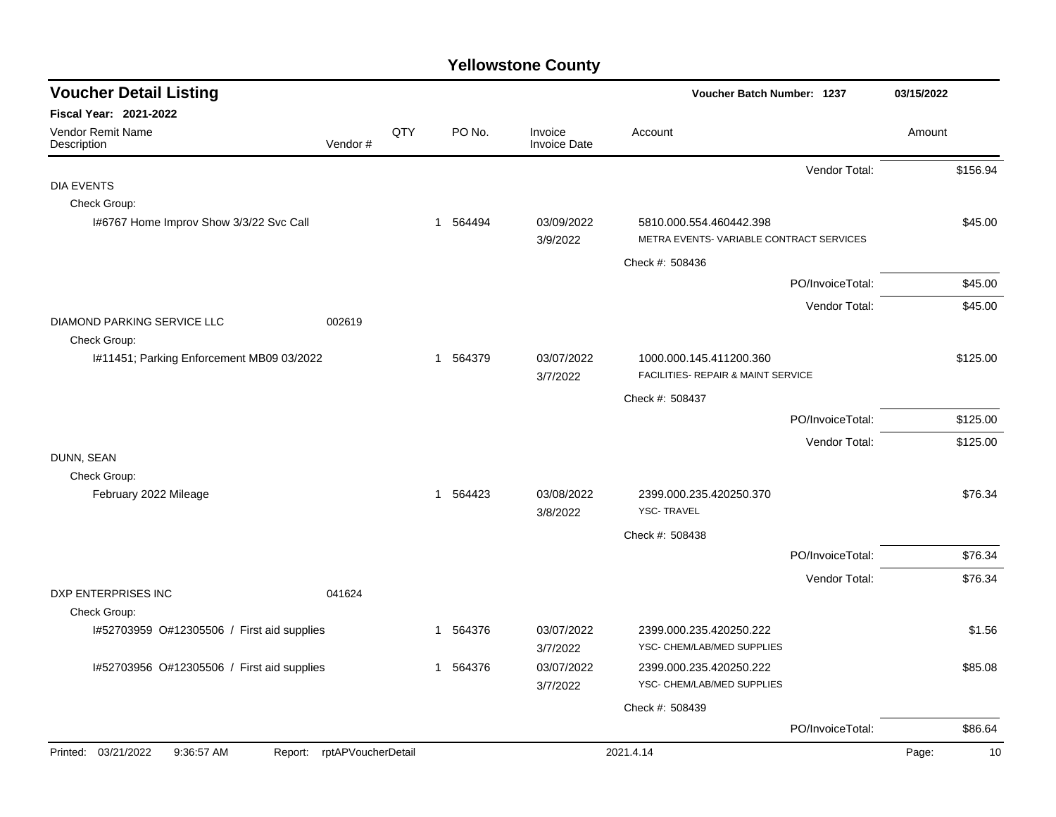| <b>Voucher Detail Listing</b>                |                    |     |              |                                | Voucher Batch Number: 1237                                         |                  | 03/15/2022  |
|----------------------------------------------|--------------------|-----|--------------|--------------------------------|--------------------------------------------------------------------|------------------|-------------|
| <b>Fiscal Year: 2021-2022</b>                |                    |     |              |                                |                                                                    |                  |             |
| Vendor Remit Name<br>Description             | Vendor#            | QTY | PO No.       | Invoice<br><b>Invoice Date</b> | Account                                                            |                  | Amount      |
|                                              |                    |     |              |                                |                                                                    | Vendor Total:    | \$156.94    |
| <b>DIA EVENTS</b>                            |                    |     |              |                                |                                                                    |                  |             |
| Check Group:                                 |                    |     |              |                                |                                                                    |                  |             |
| I#6767 Home Improv Show 3/3/22 Svc Call      |                    |     | 1 564494     | 03/09/2022<br>3/9/2022         | 5810.000.554.460442.398<br>METRA EVENTS-VARIABLE CONTRACT SERVICES |                  | \$45.00     |
|                                              |                    |     |              |                                | Check #: 508436                                                    |                  |             |
|                                              |                    |     |              |                                |                                                                    | PO/InvoiceTotal: | \$45.00     |
|                                              |                    |     |              |                                |                                                                    | Vendor Total:    | \$45.00     |
| DIAMOND PARKING SERVICE LLC                  | 002619             |     |              |                                |                                                                    |                  |             |
| Check Group:                                 |                    |     |              |                                |                                                                    |                  |             |
| I#11451; Parking Enforcement MB09 03/2022    |                    |     | 1 564379     | 03/07/2022                     | 1000.000.145.411200.360                                            |                  | \$125.00    |
|                                              |                    |     |              | 3/7/2022                       | FACILITIES- REPAIR & MAINT SERVICE                                 |                  |             |
|                                              |                    |     |              |                                | Check #: 508437                                                    |                  |             |
|                                              |                    |     |              |                                |                                                                    | PO/InvoiceTotal: | \$125.00    |
|                                              |                    |     |              |                                |                                                                    | Vendor Total:    | \$125.00    |
| DUNN, SEAN<br>Check Group:                   |                    |     |              |                                |                                                                    |                  |             |
| February 2022 Mileage                        |                    |     | 1 564423     | 03/08/2022                     | 2399.000.235.420250.370                                            |                  | \$76.34     |
|                                              |                    |     |              | 3/8/2022                       | <b>YSC-TRAVEL</b>                                                  |                  |             |
|                                              |                    |     |              |                                | Check #: 508438                                                    |                  |             |
|                                              |                    |     |              |                                |                                                                    | PO/InvoiceTotal: | \$76.34     |
|                                              |                    |     |              |                                |                                                                    | Vendor Total:    | \$76.34     |
| DXP ENTERPRISES INC                          | 041624             |     |              |                                |                                                                    |                  |             |
| Check Group:                                 |                    |     |              |                                |                                                                    |                  |             |
| I#52703959 O#12305506 / First aid supplies   |                    |     | 564376<br>1  | 03/07/2022<br>3/7/2022         | 2399.000.235.420250.222<br>YSC- CHEM/LAB/MED SUPPLIES              |                  | \$1.56      |
| I#52703956 O#12305506 / First aid supplies   |                    |     | 564376<br>-1 | 03/07/2022                     | 2399.000.235.420250.222                                            |                  | \$85.08     |
|                                              |                    |     |              | 3/7/2022                       | YSC- CHEM/LAB/MED SUPPLIES                                         |                  |             |
|                                              |                    |     |              |                                | Check #: 508439                                                    |                  |             |
|                                              |                    |     |              |                                |                                                                    | PO/InvoiceTotal: | \$86.64     |
| Printed: 03/21/2022<br>9:36:57 AM<br>Report: | rptAPVoucherDetail |     |              |                                | 2021.4.14                                                          |                  | Page:<br>10 |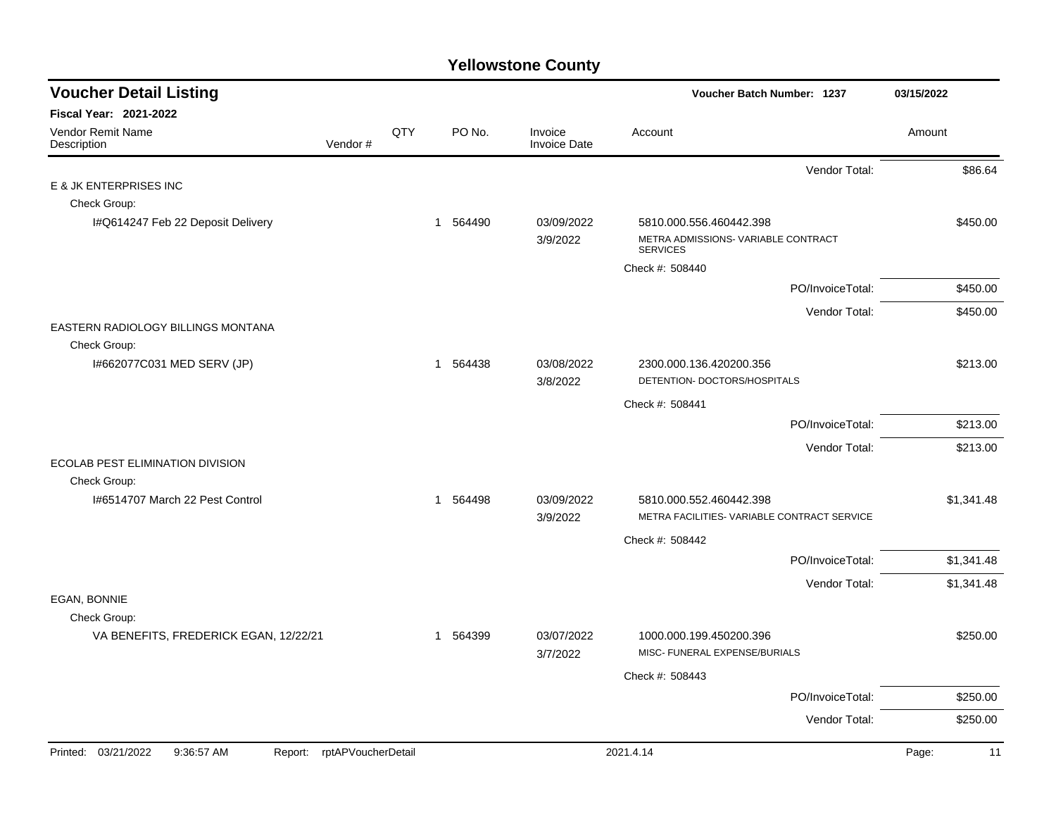| <b>Voucher Detail Listing</b>                                         |     |          |                                | Voucher Batch Number: 1237                               | 03/15/2022  |
|-----------------------------------------------------------------------|-----|----------|--------------------------------|----------------------------------------------------------|-------------|
| <b>Fiscal Year: 2021-2022</b>                                         |     |          |                                |                                                          |             |
| Vendor Remit Name<br>Description<br>Vendor#                           | QTY | PO No.   | Invoice<br><b>Invoice Date</b> | Account                                                  | Amount      |
|                                                                       |     |          |                                | Vendor Total:                                            | \$86.64     |
| E & JK ENTERPRISES INC                                                |     |          |                                |                                                          |             |
| Check Group:                                                          |     |          |                                |                                                          |             |
| I#Q614247 Feb 22 Deposit Delivery                                     |     | 1 564490 | 03/09/2022                     | 5810.000.556.460442.398                                  | \$450.00    |
|                                                                       |     |          | 3/9/2022                       | METRA ADMISSIONS- VARIABLE CONTRACT<br><b>SERVICES</b>   |             |
|                                                                       |     |          |                                | Check #: 508440                                          |             |
|                                                                       |     |          |                                | PO/InvoiceTotal:                                         | \$450.00    |
|                                                                       |     |          |                                | Vendor Total:                                            | \$450.00    |
| EASTERN RADIOLOGY BILLINGS MONTANA                                    |     |          |                                |                                                          |             |
| Check Group:                                                          |     |          |                                |                                                          |             |
| I#662077C031 MED SERV (JP)                                            |     | 1 564438 | 03/08/2022<br>3/8/2022         | 2300.000.136.420200.356<br>DETENTION- DOCTORS/HOSPITALS  | \$213.00    |
|                                                                       |     |          |                                | Check #: 508441                                          |             |
|                                                                       |     |          |                                | PO/InvoiceTotal:                                         | \$213.00    |
|                                                                       |     |          |                                | Vendor Total:                                            | \$213.00    |
| ECOLAB PEST ELIMINATION DIVISION<br>Check Group:                      |     |          |                                |                                                          |             |
| 1#6514707 March 22 Pest Control                                       |     | 1 564498 | 03/09/2022                     | 5810.000.552.460442.398                                  | \$1,341.48  |
|                                                                       |     |          | 3/9/2022                       | METRA FACILITIES- VARIABLE CONTRACT SERVICE              |             |
|                                                                       |     |          |                                | Check #: 508442                                          |             |
|                                                                       |     |          |                                | PO/InvoiceTotal:                                         | \$1,341.48  |
|                                                                       |     |          |                                | Vendor Total:                                            | \$1,341.48  |
| EGAN, BONNIE                                                          |     |          |                                |                                                          |             |
| Check Group:                                                          |     |          |                                |                                                          |             |
| VA BENEFITS, FREDERICK EGAN, 12/22/21                                 |     | 1 564399 | 03/07/2022<br>3/7/2022         | 1000.000.199.450200.396<br>MISC- FUNERAL EXPENSE/BURIALS | \$250.00    |
|                                                                       |     |          |                                | Check #: 508443                                          |             |
|                                                                       |     |          |                                | PO/InvoiceTotal:                                         | \$250.00    |
|                                                                       |     |          |                                | Vendor Total:                                            | \$250.00    |
| 03/21/2022<br>9:36:57 AM<br>rptAPVoucherDetail<br>Printed:<br>Report: |     |          |                                | 2021.4.14                                                | Page:<br>11 |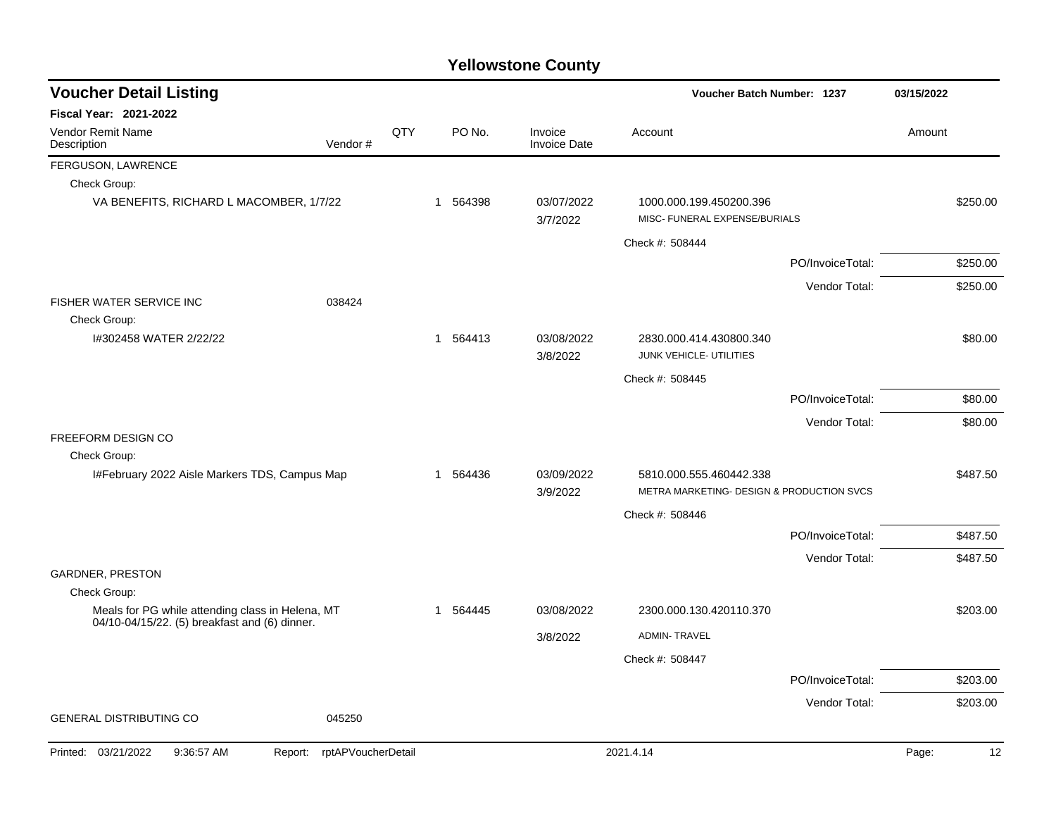| <b>Voucher Detail Listing</b>                                    |                    |     |                       | Voucher Batch Number: 1237     |                                                                      | 03/15/2022       |             |
|------------------------------------------------------------------|--------------------|-----|-----------------------|--------------------------------|----------------------------------------------------------------------|------------------|-------------|
| <b>Fiscal Year: 2021-2022</b>                                    |                    |     |                       |                                |                                                                      |                  |             |
| Vendor Remit Name<br>Description                                 | Vendor#            | QTY | PO No.                | Invoice<br><b>Invoice Date</b> | Account                                                              |                  | Amount      |
| FERGUSON, LAWRENCE                                               |                    |     |                       |                                |                                                                      |                  |             |
| Check Group:                                                     |                    |     |                       |                                |                                                                      |                  |             |
| VA BENEFITS, RICHARD L MACOMBER, 1/7/22                          |                    |     | 1 564398              | 03/07/2022<br>3/7/2022         | 1000.000.199.450200.396<br>MISC- FUNERAL EXPENSE/BURIALS             |                  | \$250.00    |
|                                                                  |                    |     |                       |                                | Check #: 508444                                                      |                  |             |
|                                                                  |                    |     |                       |                                |                                                                      | PO/InvoiceTotal: | \$250.00    |
|                                                                  |                    |     |                       |                                |                                                                      | Vendor Total:    | \$250.00    |
| <b>FISHER WATER SERVICE INC.</b><br>Check Group:                 | 038424             |     |                       |                                |                                                                      |                  |             |
| I#302458 WATER 2/22/22                                           |                    |     | 564413<br>$\mathbf 1$ | 03/08/2022<br>3/8/2022         | 2830.000.414.430800.340<br>JUNK VEHICLE- UTILITIES                   |                  | \$80.00     |
|                                                                  |                    |     |                       |                                | Check #: 508445                                                      |                  |             |
|                                                                  |                    |     |                       |                                |                                                                      | PO/InvoiceTotal: | \$80.00     |
|                                                                  |                    |     |                       |                                |                                                                      | Vendor Total:    | \$80.00     |
| FREEFORM DESIGN CO                                               |                    |     |                       |                                |                                                                      |                  |             |
| Check Group:                                                     |                    |     |                       |                                |                                                                      |                  |             |
| I#February 2022 Aisle Markers TDS, Campus Map                    |                    |     | 564436<br>1           | 03/09/2022<br>3/9/2022         | 5810.000.555.460442.338<br>METRA MARKETING- DESIGN & PRODUCTION SVCS |                  | \$487.50    |
|                                                                  |                    |     |                       |                                | Check #: 508446                                                      |                  |             |
|                                                                  |                    |     |                       |                                |                                                                      | PO/InvoiceTotal: | \$487.50    |
|                                                                  |                    |     |                       |                                |                                                                      | Vendor Total:    | \$487.50    |
| <b>GARDNER, PRESTON</b>                                          |                    |     |                       |                                |                                                                      |                  |             |
| Check Group:<br>Meals for PG while attending class in Helena, MT |                    |     | 564445<br>1           | 03/08/2022                     | 2300.000.130.420110.370                                              |                  | \$203.00    |
| 04/10-04/15/22. (5) breakfast and (6) dinner.                    |                    |     |                       |                                |                                                                      |                  |             |
|                                                                  |                    |     |                       | 3/8/2022                       | ADMIN-TRAVEL                                                         |                  |             |
|                                                                  |                    |     |                       |                                | Check #: 508447                                                      |                  |             |
|                                                                  |                    |     |                       |                                |                                                                      | PO/InvoiceTotal: | \$203.00    |
| <b>GENERAL DISTRIBUTING CO</b>                                   | 045250             |     |                       |                                |                                                                      | Vendor Total:    | \$203.00    |
|                                                                  |                    |     |                       |                                |                                                                      |                  |             |
| Printed: 03/21/2022<br>9:36:57 AM<br>Report:                     | rptAPVoucherDetail |     |                       |                                | 2021.4.14                                                            |                  | 12<br>Page: |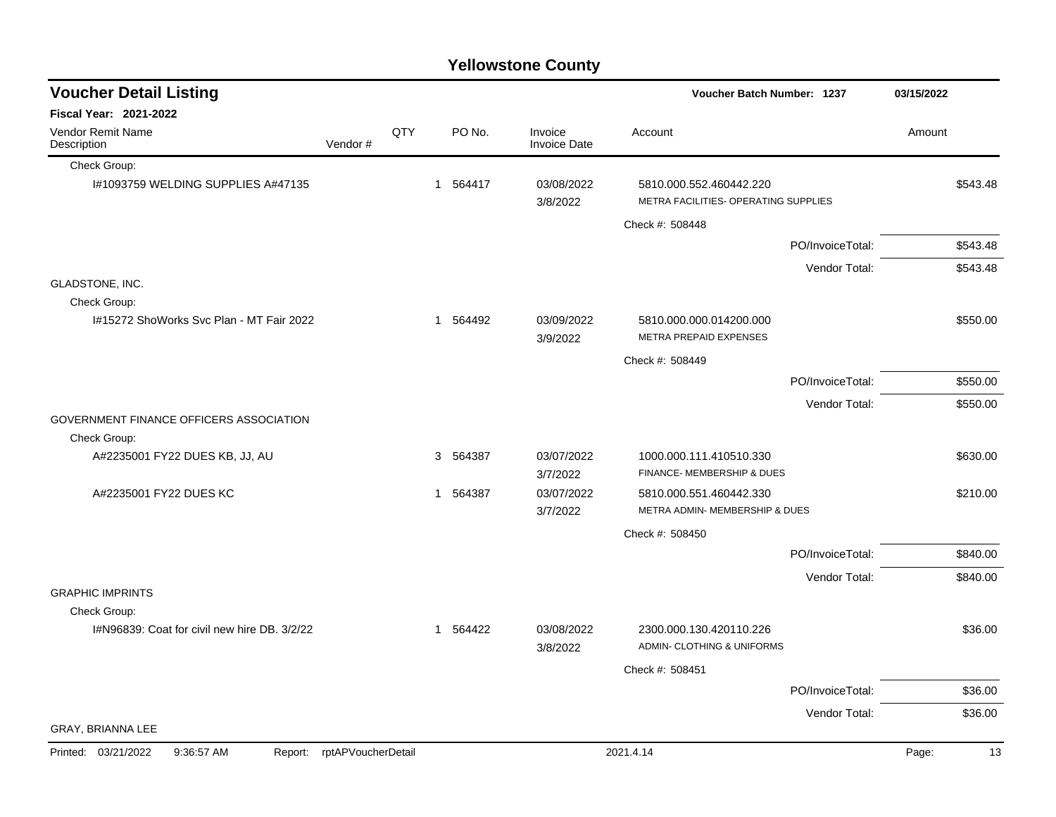|  | <b>Yellowstone County</b> |  |
|--|---------------------------|--|
|--|---------------------------|--|

| <b>Voucher Detail Listing</b>                            |                    |     |          |                                |                                                                 | <b>Voucher Batch Number: 1237</b> |        |          |
|----------------------------------------------------------|--------------------|-----|----------|--------------------------------|-----------------------------------------------------------------|-----------------------------------|--------|----------|
| Fiscal Year: 2021-2022                                   |                    |     |          |                                |                                                                 |                                   |        |          |
| Vendor Remit Name<br>Description                         | Vendor#            | QTY | PO No.   | Invoice<br><b>Invoice Date</b> | Account                                                         |                                   | Amount |          |
| Check Group:                                             |                    |     |          |                                |                                                                 |                                   |        |          |
| I#1093759 WELDING SUPPLIES A#47135                       |                    |     | 1 564417 | 03/08/2022<br>3/8/2022         | 5810.000.552.460442.220<br>METRA FACILITIES- OPERATING SUPPLIES |                                   |        | \$543.48 |
|                                                          |                    |     |          |                                | Check #: 508448                                                 |                                   |        |          |
|                                                          |                    |     |          |                                |                                                                 | PO/InvoiceTotal:                  |        | \$543.48 |
|                                                          |                    |     |          |                                |                                                                 | Vendor Total:                     |        | \$543.48 |
| GLADSTONE, INC.                                          |                    |     |          |                                |                                                                 |                                   |        |          |
| Check Group:<br>I#15272 ShoWorks Svc Plan - MT Fair 2022 |                    |     | 1 564492 | 03/09/2022<br>3/9/2022         | 5810.000.000.014200.000<br>METRA PREPAID EXPENSES               |                                   |        | \$550.00 |
|                                                          |                    |     |          |                                | Check #: 508449                                                 |                                   |        |          |
|                                                          |                    |     |          |                                |                                                                 | PO/InvoiceTotal:                  |        | \$550.00 |
|                                                          |                    |     |          |                                |                                                                 | Vendor Total:                     |        | \$550.00 |
| GOVERNMENT FINANCE OFFICERS ASSOCIATION<br>Check Group:  |                    |     |          |                                |                                                                 |                                   |        |          |
| A#2235001 FY22 DUES KB, JJ, AU                           |                    |     | 3 564387 | 03/07/2022<br>3/7/2022         | 1000.000.111.410510.330<br>FINANCE- MEMBERSHIP & DUES           |                                   |        | \$630.00 |
| A#2235001 FY22 DUES KC                                   |                    |     | 1 564387 | 03/07/2022<br>3/7/2022         | 5810.000.551.460442.330<br>METRA ADMIN- MEMBERSHIP & DUES       |                                   |        | \$210.00 |
|                                                          |                    |     |          |                                | Check #: 508450                                                 |                                   |        |          |
|                                                          |                    |     |          |                                |                                                                 | PO/InvoiceTotal:                  |        | \$840.00 |
|                                                          |                    |     |          |                                |                                                                 | Vendor Total:                     |        | \$840.00 |
| <b>GRAPHIC IMPRINTS</b>                                  |                    |     |          |                                |                                                                 |                                   |        |          |
| Check Group:                                             |                    |     |          |                                |                                                                 |                                   |        |          |
| I#N96839: Coat for civil new hire DB, 3/2/22             |                    |     | 1 564422 | 03/08/2022<br>3/8/2022         | 2300.000.130.420110.226<br>ADMIN- CLOTHING & UNIFORMS           |                                   |        | \$36.00  |
|                                                          |                    |     |          |                                | Check #: 508451                                                 |                                   |        |          |
|                                                          |                    |     |          |                                |                                                                 | PO/InvoiceTotal:                  |        | \$36.00  |
|                                                          |                    |     |          |                                |                                                                 | Vendor Total:                     |        | \$36.00  |
| GRAY, BRIANNA LEE                                        |                    |     |          |                                |                                                                 |                                   |        |          |
| Printed: 03/21/2022<br>9:36:57 AM<br>Report:             | rptAPVoucherDetail |     |          |                                | 2021.4.14                                                       |                                   | Page:  | 13       |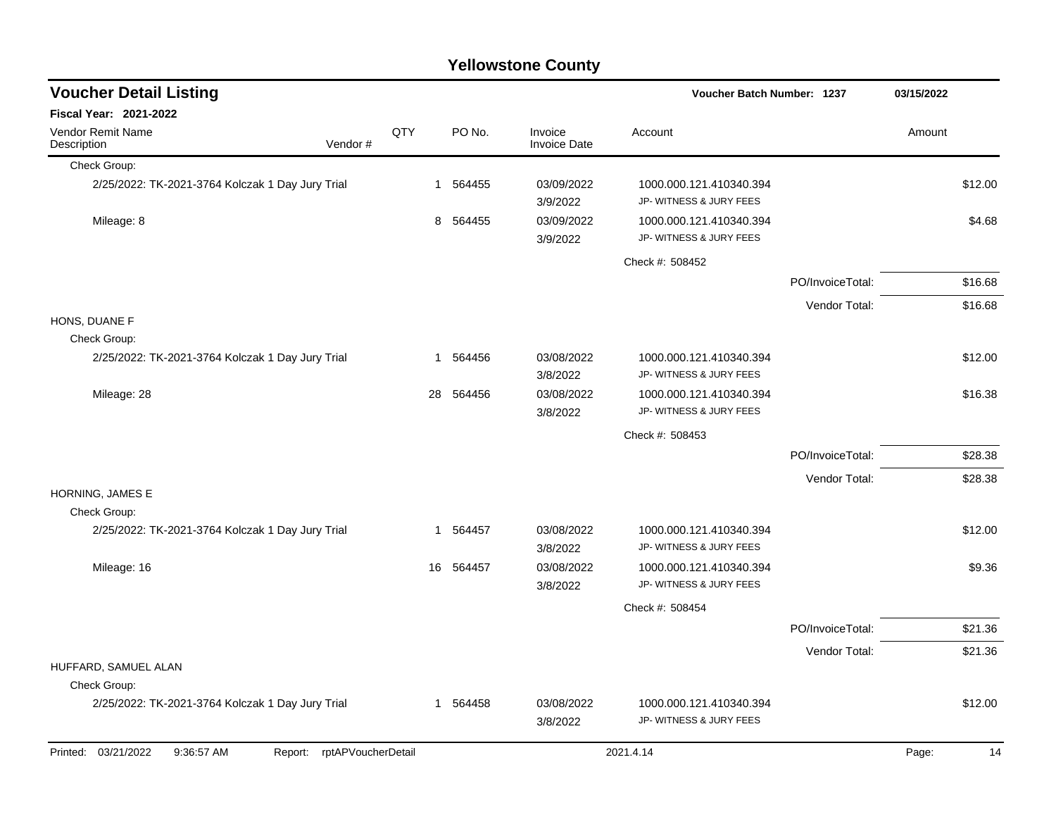| <b>Voucher Detail Listing</b>                                      |     |    |          |                                | Voucher Batch Number: 1237                         |                  | 03/15/2022 |         |
|--------------------------------------------------------------------|-----|----|----------|--------------------------------|----------------------------------------------------|------------------|------------|---------|
| Fiscal Year: 2021-2022                                             |     |    |          |                                |                                                    |                  |            |         |
| Vendor Remit Name<br>Vendor#<br>Description                        | QTY |    | PO No.   | Invoice<br><b>Invoice Date</b> | Account                                            |                  | Amount     |         |
| Check Group:                                                       |     |    |          |                                |                                                    |                  |            |         |
| 2/25/2022: TK-2021-3764 Kolczak 1 Day Jury Trial                   |     |    | 1 564455 | 03/09/2022<br>3/9/2022         | 1000.000.121.410340.394<br>JP- WITNESS & JURY FEES |                  |            | \$12.00 |
| Mileage: 8                                                         |     | 8  | 564455   | 03/09/2022<br>3/9/2022         | 1000.000.121.410340.394<br>JP- WITNESS & JURY FEES |                  |            | \$4.68  |
|                                                                    |     |    |          |                                | Check #: 508452                                    |                  |            |         |
|                                                                    |     |    |          |                                |                                                    | PO/InvoiceTotal: |            | \$16.68 |
|                                                                    |     |    |          |                                |                                                    | Vendor Total:    |            | \$16.68 |
| HONS, DUANE F                                                      |     |    |          |                                |                                                    |                  |            |         |
| Check Group:                                                       |     |    |          |                                |                                                    |                  |            |         |
| 2/25/2022: TK-2021-3764 Kolczak 1 Day Jury Trial                   |     | 1  | 564456   | 03/08/2022<br>3/8/2022         | 1000.000.121.410340.394<br>JP- WITNESS & JURY FEES |                  |            | \$12.00 |
| Mileage: 28                                                        |     | 28 | 564456   | 03/08/2022<br>3/8/2022         | 1000.000.121.410340.394<br>JP- WITNESS & JURY FEES |                  |            | \$16.38 |
|                                                                    |     |    |          |                                | Check #: 508453                                    |                  |            |         |
|                                                                    |     |    |          |                                |                                                    | PO/InvoiceTotal: |            | \$28.38 |
|                                                                    |     |    |          |                                |                                                    | Vendor Total:    |            | \$28.38 |
| HORNING, JAMES E<br>Check Group:                                   |     |    |          |                                |                                                    |                  |            |         |
| 2/25/2022: TK-2021-3764 Kolczak 1 Day Jury Trial                   |     | 1  | 564457   | 03/08/2022<br>3/8/2022         | 1000.000.121.410340.394<br>JP- WITNESS & JURY FEES |                  |            | \$12.00 |
| Mileage: 16                                                        |     | 16 | 564457   | 03/08/2022<br>3/8/2022         | 1000.000.121.410340.394<br>JP- WITNESS & JURY FEES |                  |            | \$9.36  |
|                                                                    |     |    |          |                                | Check #: 508454                                    |                  |            |         |
|                                                                    |     |    |          |                                |                                                    | PO/InvoiceTotal: |            | \$21.36 |
|                                                                    |     |    |          |                                |                                                    | Vendor Total:    |            | \$21.36 |
| HUFFARD, SAMUEL ALAN                                               |     |    |          |                                |                                                    |                  |            |         |
| Check Group:                                                       |     |    |          |                                |                                                    |                  |            |         |
| 2/25/2022: TK-2021-3764 Kolczak 1 Day Jury Trial                   |     |    | 1 564458 | 03/08/2022<br>3/8/2022         | 1000.000.121.410340.394<br>JP- WITNESS & JURY FEES |                  |            | \$12.00 |
| Printed: 03/21/2022<br>9:36:57 AM<br>rptAPVoucherDetail<br>Report: |     |    |          |                                | 2021.4.14                                          |                  | Page:      | 14      |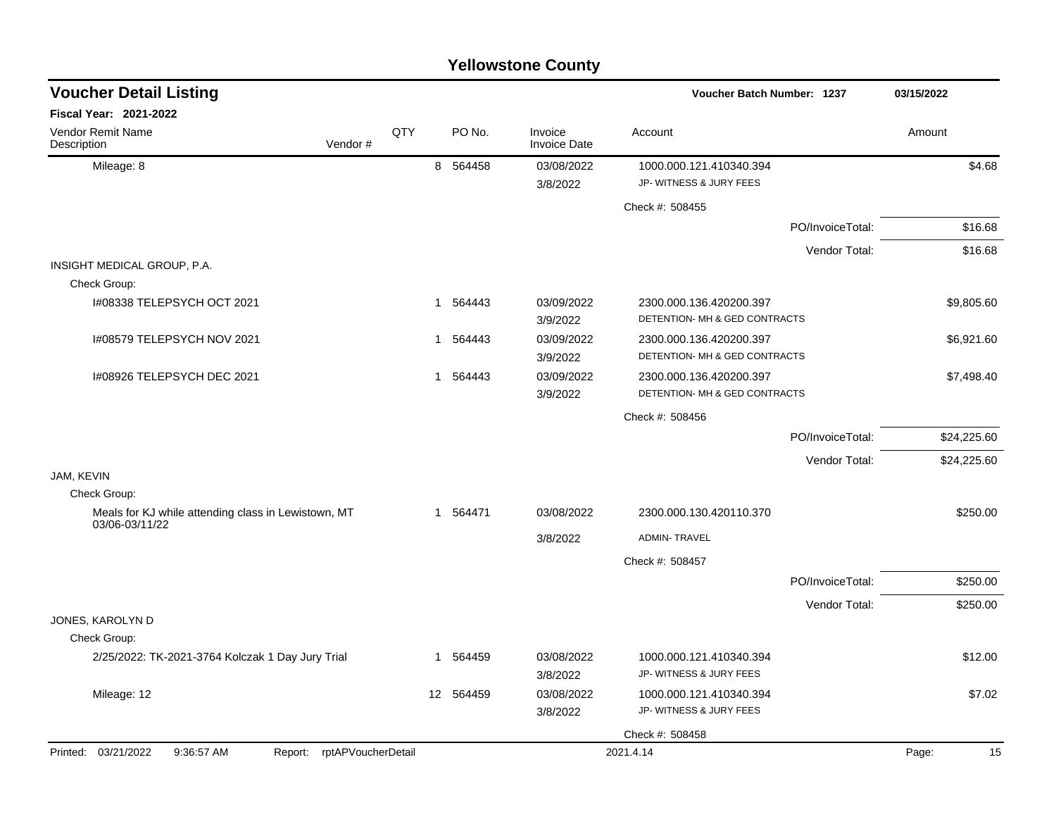|                                                                       |                    |     |           | <b>Yellowstone County</b>      |                                                          |                  |             |
|-----------------------------------------------------------------------|--------------------|-----|-----------|--------------------------------|----------------------------------------------------------|------------------|-------------|
| <b>Voucher Detail Listing</b>                                         |                    |     |           |                                | <b>Voucher Batch Number: 1237</b>                        |                  | 03/15/2022  |
| Fiscal Year: 2021-2022                                                |                    |     |           |                                |                                                          |                  |             |
| Vendor Remit Name<br>Description                                      | Vendor#            | QTY | PO No.    | Invoice<br><b>Invoice Date</b> | Account                                                  |                  | Amount      |
| Mileage: 8                                                            |                    |     | 8 564458  | 03/08/2022                     | 1000.000.121.410340.394                                  |                  | \$4.68      |
|                                                                       |                    |     |           | 3/8/2022                       | JP- WITNESS & JURY FEES                                  |                  |             |
|                                                                       |                    |     |           |                                | Check #: 508455                                          |                  |             |
|                                                                       |                    |     |           |                                |                                                          | PO/InvoiceTotal: | \$16.68     |
|                                                                       |                    |     |           |                                |                                                          | Vendor Total:    | \$16.68     |
| INSIGHT MEDICAL GROUP, P.A.                                           |                    |     |           |                                |                                                          |                  |             |
| Check Group:                                                          |                    |     |           |                                |                                                          |                  |             |
| I#08338 TELEPSYCH OCT 2021                                            |                    |     | 1 564443  | 03/09/2022<br>3/9/2022         | 2300.000.136.420200.397<br>DETENTION- MH & GED CONTRACTS |                  | \$9,805.60  |
| I#08579 TELEPSYCH NOV 2021                                            |                    | 1   | 564443    | 03/09/2022<br>3/9/2022         | 2300.000.136.420200.397<br>DETENTION- MH & GED CONTRACTS |                  | \$6,921.60  |
| I#08926 TELEPSYCH DEC 2021                                            |                    |     | 1 564443  | 03/09/2022<br>3/9/2022         | 2300.000.136.420200.397<br>DETENTION- MH & GED CONTRACTS |                  | \$7,498.40  |
|                                                                       |                    |     |           |                                | Check #: 508456                                          |                  |             |
|                                                                       |                    |     |           |                                |                                                          | PO/InvoiceTotal: | \$24,225.60 |
|                                                                       |                    |     |           |                                |                                                          | Vendor Total:    | \$24,225.60 |
| JAM, KEVIN                                                            |                    |     |           |                                |                                                          |                  |             |
| Check Group:                                                          |                    |     |           |                                |                                                          |                  |             |
| Meals for KJ while attending class in Lewistown, MT<br>03/06-03/11/22 |                    |     | 1 564471  | 03/08/2022                     | 2300.000.130.420110.370                                  |                  | \$250.00    |
|                                                                       |                    |     |           | 3/8/2022                       | <b>ADMIN-TRAVEL</b>                                      |                  |             |
|                                                                       |                    |     |           |                                | Check #: 508457                                          |                  |             |
|                                                                       |                    |     |           |                                |                                                          | PO/InvoiceTotal: | \$250.00    |
|                                                                       |                    |     |           |                                |                                                          | Vendor Total:    | \$250.00    |
| JONES, KAROLYN D                                                      |                    |     |           |                                |                                                          |                  |             |
| Check Group:                                                          |                    |     |           |                                |                                                          |                  |             |
| 2/25/2022: TK-2021-3764 Kolczak 1 Day Jury Trial                      |                    |     | 1 564459  | 03/08/2022<br>3/8/2022         | 1000.000.121.410340.394<br>JP- WITNESS & JURY FEES       |                  | \$12.00     |
| Mileage: 12                                                           |                    |     | 12 564459 | 03/08/2022                     | 1000.000.121.410340.394                                  |                  | \$7.02      |
|                                                                       |                    |     |           | 3/8/2022                       | JP- WITNESS & JURY FEES                                  |                  |             |
|                                                                       |                    |     |           |                                | Check #: 508458                                          |                  |             |
| Printed: 03/21/2022<br>9:36:57 AM<br>Report:                          | rptAPVoucherDetail |     |           |                                | 2021.4.14                                                |                  | Page:<br>15 |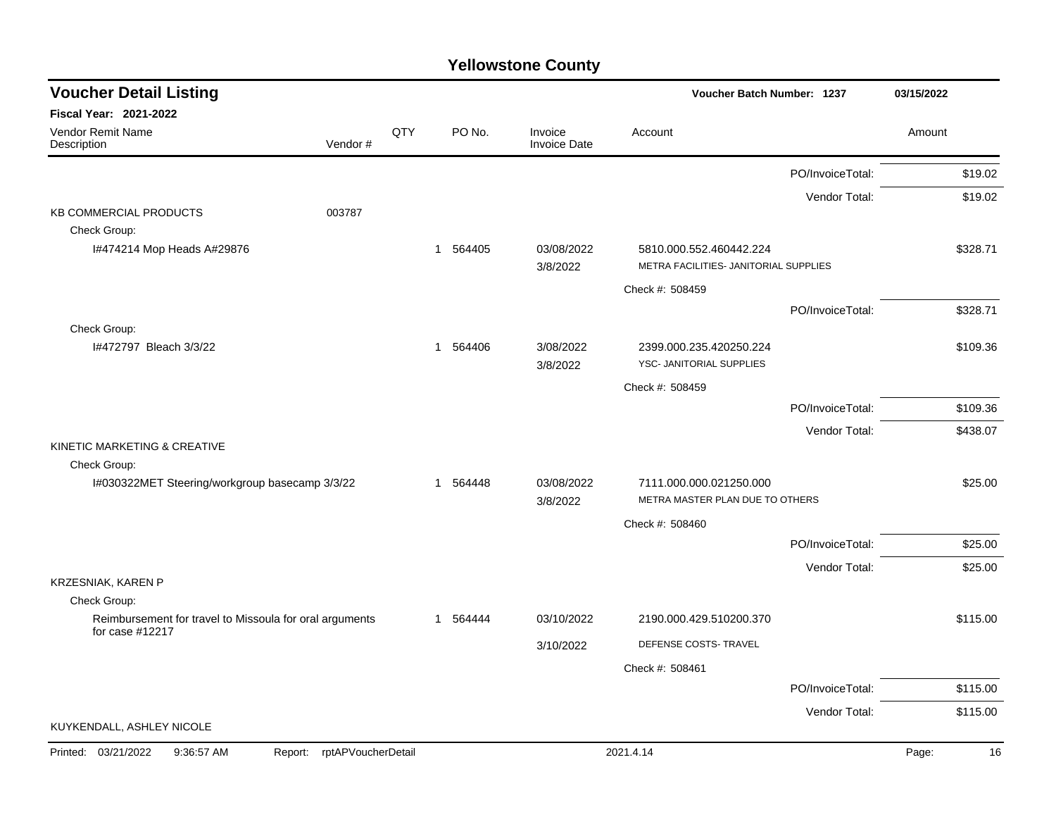| <b>Voucher Detail Listing</b>                                           |     |          |                                | Voucher Batch Number: 1237                          |                  | 03/15/2022  |
|-------------------------------------------------------------------------|-----|----------|--------------------------------|-----------------------------------------------------|------------------|-------------|
| Fiscal Year: 2021-2022                                                  |     |          |                                |                                                     |                  |             |
| Vendor Remit Name<br>Vendor#<br>Description                             | QTY | PO No.   | Invoice<br><b>Invoice Date</b> | Account                                             |                  | Amount      |
|                                                                         |     |          |                                |                                                     | PO/InvoiceTotal: | \$19.02     |
|                                                                         |     |          |                                |                                                     | Vendor Total:    | \$19.02     |
| <b>KB COMMERCIAL PRODUCTS</b><br>003787                                 |     |          |                                |                                                     |                  |             |
| Check Group:<br>I#474214 Mop Heads A#29876                              |     | 1 564405 | 03/08/2022                     | 5810.000.552.460442.224                             |                  | \$328.71    |
|                                                                         |     |          | 3/8/2022                       | METRA FACILITIES- JANITORIAL SUPPLIES               |                  |             |
|                                                                         |     |          |                                | Check #: 508459                                     |                  |             |
|                                                                         |     |          |                                |                                                     | PO/InvoiceTotal: | \$328.71    |
| Check Group:                                                            |     |          |                                |                                                     |                  |             |
| I#472797 Bleach 3/3/22                                                  |     | 1 564406 | 3/08/2022<br>3/8/2022          | 2399.000.235.420250.224<br>YSC- JANITORIAL SUPPLIES |                  | \$109.36    |
|                                                                         |     |          |                                | Check #: 508459                                     |                  |             |
|                                                                         |     |          |                                |                                                     | PO/InvoiceTotal: | \$109.36    |
|                                                                         |     |          |                                |                                                     | Vendor Total:    | \$438.07    |
| KINETIC MARKETING & CREATIVE                                            |     |          |                                |                                                     |                  |             |
| Check Group:<br>I#030322MET Steering/workgroup basecamp 3/3/22          |     | 1 564448 | 03/08/2022                     | 7111.000.000.021250.000                             |                  | \$25.00     |
|                                                                         |     |          | 3/8/2022                       | METRA MASTER PLAN DUE TO OTHERS                     |                  |             |
|                                                                         |     |          |                                | Check #: 508460                                     |                  |             |
|                                                                         |     |          |                                |                                                     | PO/InvoiceTotal: | \$25.00     |
|                                                                         |     |          |                                |                                                     | Vendor Total:    | \$25.00     |
| KRZESNIAK, KAREN P                                                      |     |          |                                |                                                     |                  |             |
| Check Group:<br>Reimbursement for travel to Missoula for oral arguments |     | 1 564444 | 03/10/2022                     | 2190.000.429.510200.370                             |                  | \$115.00    |
| for case #12217                                                         |     |          |                                |                                                     |                  |             |
|                                                                         |     |          | 3/10/2022                      | DEFENSE COSTS- TRAVEL                               |                  |             |
|                                                                         |     |          |                                | Check #: 508461                                     |                  |             |
|                                                                         |     |          |                                |                                                     | PO/InvoiceTotal: | \$115.00    |
| KUYKENDALL, ASHLEY NICOLE                                               |     |          |                                |                                                     | Vendor Total:    | \$115.00    |
| Printed: 03/21/2022<br>rptAPVoucherDetail<br>9:36:57 AM<br>Report:      |     |          |                                | 2021.4.14                                           |                  | 16<br>Page: |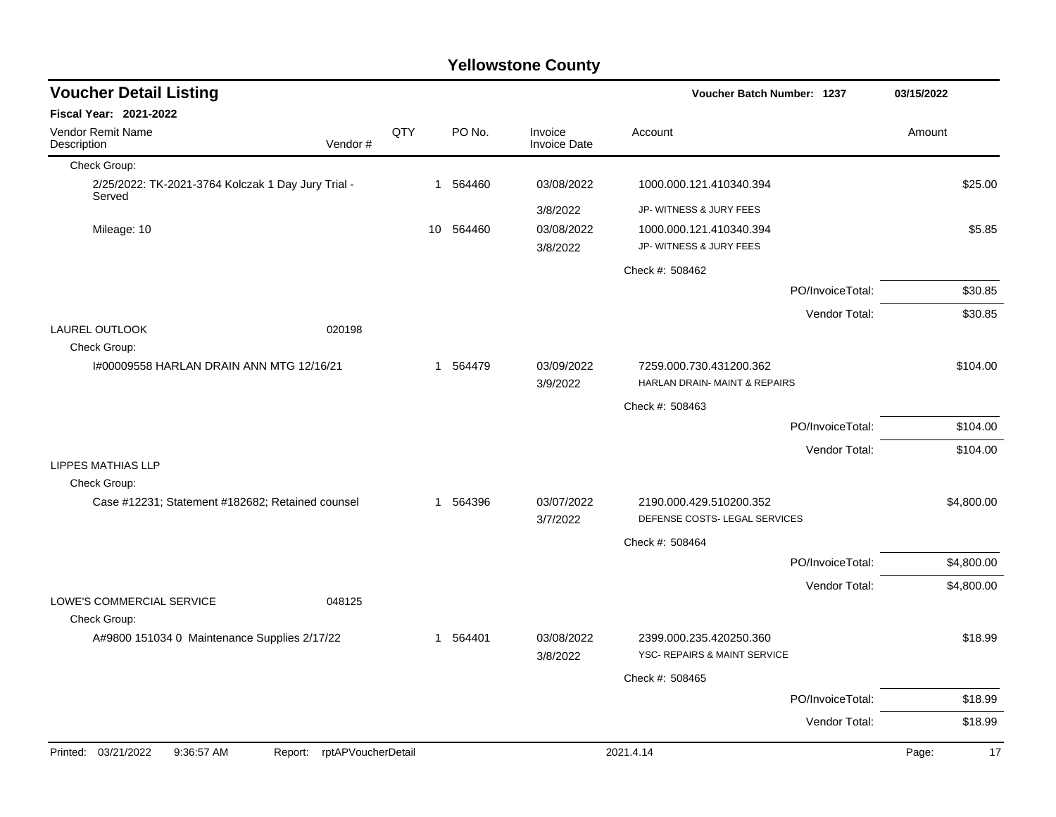| <b>Voucher Detail Listing</b>                                |                    |    |          |                                | Voucher Batch Number: 1237    |                  | 03/15/2022  |
|--------------------------------------------------------------|--------------------|----|----------|--------------------------------|-------------------------------|------------------|-------------|
| <b>Fiscal Year: 2021-2022</b>                                |                    |    |          |                                |                               |                  |             |
| Vendor Remit Name<br>Vendor#<br>Description                  | QTY                |    | PO No.   | Invoice<br><b>Invoice Date</b> | Account                       |                  | Amount      |
| Check Group:                                                 |                    |    |          |                                |                               |                  |             |
| 2/25/2022: TK-2021-3764 Kolczak 1 Day Jury Trial -<br>Served |                    |    | 1 564460 | 03/08/2022                     | 1000.000.121.410340.394       |                  | \$25.00     |
|                                                              |                    |    |          | 3/8/2022                       | JP- WITNESS & JURY FEES       |                  |             |
| Mileage: 10                                                  |                    | 10 | 564460   | 03/08/2022                     | 1000.000.121.410340.394       |                  | \$5.85      |
|                                                              |                    |    |          | 3/8/2022                       | JP- WITNESS & JURY FEES       |                  |             |
|                                                              |                    |    |          |                                | Check #: 508462               |                  |             |
|                                                              |                    |    |          |                                |                               | PO/InvoiceTotal: | \$30.85     |
|                                                              |                    |    |          |                                |                               | Vendor Total:    | \$30.85     |
| <b>LAUREL OUTLOOK</b><br>020198<br>Check Group:              |                    |    |          |                                |                               |                  |             |
| 1#00009558 HARLAN DRAIN ANN MTG 12/16/21                     |                    |    | 1 564479 | 03/09/2022                     | 7259.000.730.431200.362       |                  | \$104.00    |
|                                                              |                    |    |          | 3/9/2022                       | HARLAN DRAIN- MAINT & REPAIRS |                  |             |
|                                                              |                    |    |          |                                | Check #: 508463               |                  |             |
|                                                              |                    |    |          |                                |                               | PO/InvoiceTotal: | \$104.00    |
|                                                              |                    |    |          |                                |                               | Vendor Total:    | \$104.00    |
| <b>LIPPES MATHIAS LLP</b><br>Check Group:                    |                    |    |          |                                |                               |                  |             |
| Case #12231; Statement #182682; Retained counsel             |                    |    | 1 564396 | 03/07/2022                     | 2190.000.429.510200.352       |                  | \$4,800.00  |
|                                                              |                    |    |          | 3/7/2022                       | DEFENSE COSTS- LEGAL SERVICES |                  |             |
|                                                              |                    |    |          |                                | Check #: 508464               |                  |             |
|                                                              |                    |    |          |                                |                               | PO/InvoiceTotal: | \$4,800.00  |
|                                                              |                    |    |          |                                |                               | Vendor Total:    | \$4,800.00  |
| LOWE'S COMMERCIAL SERVICE<br>048125<br>Check Group:          |                    |    |          |                                |                               |                  |             |
| A#9800 151034 0 Maintenance Supplies 2/17/22                 |                    |    | 1 564401 | 03/08/2022                     | 2399.000.235.420250.360       |                  | \$18.99     |
|                                                              |                    |    |          | 3/8/2022                       | YSC- REPAIRS & MAINT SERVICE  |                  |             |
|                                                              |                    |    |          |                                | Check #: 508465               |                  |             |
|                                                              |                    |    |          |                                |                               | PO/InvoiceTotal: | \$18.99     |
|                                                              |                    |    |          |                                |                               | Vendor Total:    | \$18.99     |
| Printed: 03/21/2022<br>9:36:57 AM<br>Report:                 | rptAPVoucherDetail |    |          |                                | 2021.4.14                     |                  | 17<br>Page: |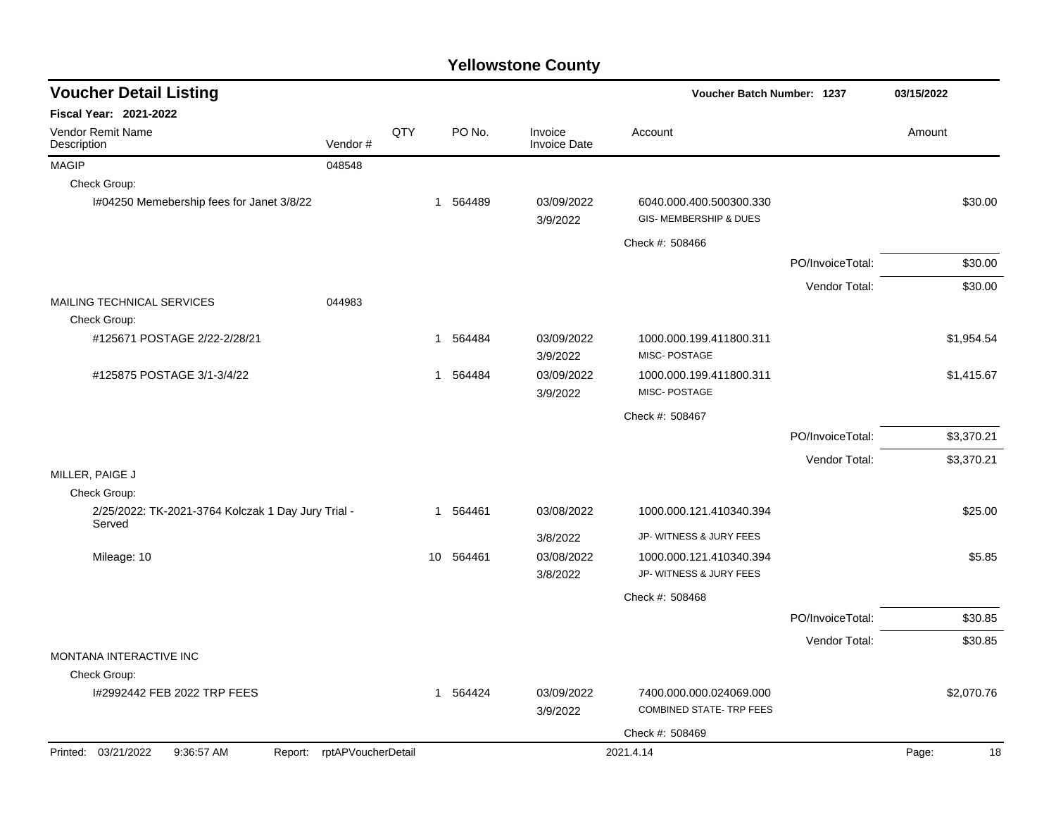| <b>Voucher Detail Listing</b>                                   |         |     |              |                                | Voucher Batch Number: 1237                                   |                  | 03/15/2022  |
|-----------------------------------------------------------------|---------|-----|--------------|--------------------------------|--------------------------------------------------------------|------------------|-------------|
| <b>Fiscal Year: 2021-2022</b>                                   |         |     |              |                                |                                                              |                  |             |
| Vendor Remit Name<br>Description                                | Vendor# | QTY | PO No.       | Invoice<br><b>Invoice Date</b> | Account                                                      |                  | Amount      |
| <b>MAGIP</b>                                                    | 048548  |     |              |                                |                                                              |                  |             |
| Check Group:                                                    |         |     |              |                                |                                                              |                  |             |
| I#04250 Memebership fees for Janet 3/8/22                       |         |     | 1 564489     | 03/09/2022<br>3/9/2022         | 6040.000.400.500300.330<br><b>GIS- MEMBERSHIP &amp; DUES</b> |                  | \$30.00     |
|                                                                 |         |     |              |                                | Check #: 508466                                              |                  |             |
|                                                                 |         |     |              |                                |                                                              | PO/InvoiceTotal: | \$30.00     |
|                                                                 |         |     |              |                                |                                                              | Vendor Total:    | \$30.00     |
| <b>MAILING TECHNICAL SERVICES</b>                               | 044983  |     |              |                                |                                                              |                  |             |
| Check Group:                                                    |         |     |              |                                |                                                              |                  |             |
| #125671 POSTAGE 2/22-2/28/21                                    |         |     | 564484<br>1  | 03/09/2022<br>3/9/2022         | 1000.000.199.411800.311<br>MISC-POSTAGE                      |                  | \$1,954.54  |
| #125875 POSTAGE 3/1-3/4/22                                      |         |     | 564484<br>1  | 03/09/2022<br>3/9/2022         | 1000.000.199.411800.311<br>MISC-POSTAGE                      |                  | \$1,415.67  |
|                                                                 |         |     |              |                                | Check #: 508467                                              |                  |             |
|                                                                 |         |     |              |                                |                                                              | PO/InvoiceTotal: | \$3,370.21  |
|                                                                 |         |     |              |                                |                                                              | Vendor Total:    | \$3,370.21  |
| MILLER, PAIGE J                                                 |         |     |              |                                |                                                              |                  |             |
| Check Group:                                                    |         |     |              |                                |                                                              |                  |             |
| 2/25/2022: TK-2021-3764 Kolczak 1 Day Jury Trial -<br>Served    |         |     | 564461<br>1. | 03/08/2022                     | 1000.000.121.410340.394                                      |                  | \$25.00     |
|                                                                 |         |     |              | 3/8/2022                       | JP- WITNESS & JURY FEES                                      |                  |             |
| Mileage: 10                                                     |         |     | 564461<br>10 | 03/08/2022                     | 1000.000.121.410340.394                                      |                  | \$5.85      |
|                                                                 |         |     |              | 3/8/2022                       | JP- WITNESS & JURY FEES                                      |                  |             |
|                                                                 |         |     |              |                                | Check #: 508468                                              |                  |             |
|                                                                 |         |     |              |                                |                                                              | PO/InvoiceTotal: | \$30.85     |
|                                                                 |         |     |              |                                |                                                              | Vendor Total:    | \$30.85     |
| MONTANA INTERACTIVE INC                                         |         |     |              |                                |                                                              |                  |             |
| Check Group:                                                    |         |     |              |                                |                                                              |                  |             |
| 1#2992442 FEB 2022 TRP FEES                                     |         |     | 1 564424     | 03/09/2022<br>3/9/2022         | 7400.000.000.024069.000<br><b>COMBINED STATE- TRP FEES</b>   |                  | \$2,070.76  |
|                                                                 |         |     |              |                                | Check #: 508469                                              |                  |             |
| Printed: 03/21/2022<br>9:36:57 AM<br>Report: rptAPVoucherDetail |         |     |              |                                | 2021.4.14                                                    |                  | 18<br>Page: |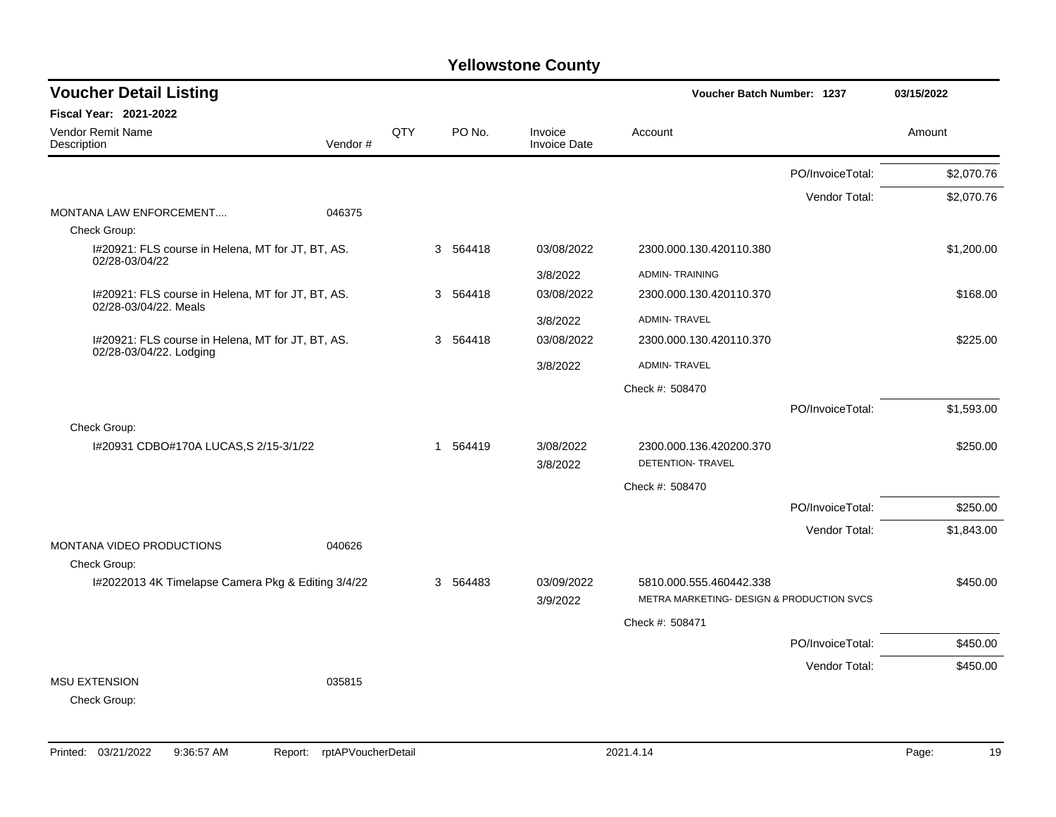| <b>Voucher Detail Listing</b>                                              |         |     |          |                                | Voucher Batch Number: 1237                |                  | 03/15/2022 |
|----------------------------------------------------------------------------|---------|-----|----------|--------------------------------|-------------------------------------------|------------------|------------|
| <b>Fiscal Year: 2021-2022</b>                                              |         |     |          |                                |                                           |                  |            |
| Vendor Remit Name<br>Description                                           | Vendor# | QTY | PO No.   | Invoice<br><b>Invoice Date</b> | Account                                   |                  | Amount     |
|                                                                            |         |     |          |                                |                                           | PO/InvoiceTotal: | \$2,070.76 |
|                                                                            |         |     |          |                                |                                           | Vendor Total:    | \$2,070.76 |
| MONTANA LAW ENFORCEMENT                                                    | 046375  |     |          |                                |                                           |                  |            |
| Check Group:<br>I#20921: FLS course in Helena, MT for JT, BT, AS.          |         |     | 3 564418 | 03/08/2022                     | 2300.000.130.420110.380                   |                  | \$1,200.00 |
| 02/28-03/04/22                                                             |         |     |          |                                |                                           |                  |            |
|                                                                            |         |     |          | 3/8/2022                       | <b>ADMIN-TRAINING</b>                     |                  |            |
| I#20921: FLS course in Helena, MT for JT, BT, AS.<br>02/28-03/04/22. Meals |         |     | 3 564418 | 03/08/2022                     | 2300.000.130.420110.370                   |                  | \$168.00   |
|                                                                            |         |     |          | 3/8/2022                       | <b>ADMIN-TRAVEL</b>                       |                  |            |
| I#20921: FLS course in Helena, MT for JT, BT, AS.                          |         |     | 3 564418 | 03/08/2022                     | 2300.000.130.420110.370                   |                  | \$225.00   |
| 02/28-03/04/22. Lodging                                                    |         |     |          | 3/8/2022                       | <b>ADMIN-TRAVEL</b>                       |                  |            |
|                                                                            |         |     |          |                                | Check #: 508470                           |                  |            |
|                                                                            |         |     |          |                                |                                           | PO/InvoiceTotal: | \$1,593.00 |
| Check Group:                                                               |         |     |          |                                |                                           |                  |            |
| I#20931 CDBO#170A LUCAS, S 2/15-3/1/22                                     |         |     | 1 564419 | 3/08/2022                      | 2300.000.136.420200.370                   |                  | \$250.00   |
|                                                                            |         |     |          | 3/8/2022                       | <b>DETENTION- TRAVEL</b>                  |                  |            |
|                                                                            |         |     |          |                                | Check #: 508470                           |                  |            |
|                                                                            |         |     |          |                                |                                           | PO/InvoiceTotal: | \$250.00   |
|                                                                            |         |     |          |                                |                                           | Vendor Total:    | \$1,843.00 |
| MONTANA VIDEO PRODUCTIONS                                                  | 040626  |     |          |                                |                                           |                  |            |
| Check Group:                                                               |         |     |          |                                |                                           |                  |            |
| I#2022013 4K Timelapse Camera Pkg & Editing 3/4/22                         |         |     | 3 564483 | 03/09/2022                     | 5810.000.555.460442.338                   |                  | \$450.00   |
|                                                                            |         |     |          | 3/9/2022                       | METRA MARKETING- DESIGN & PRODUCTION SVCS |                  |            |
|                                                                            |         |     |          |                                | Check #: 508471                           |                  |            |
|                                                                            |         |     |          |                                |                                           | PO/InvoiceTotal: | \$450.00   |
|                                                                            |         |     |          |                                |                                           | Vendor Total:    | \$450.00   |
| <b>MSU EXTENSION</b>                                                       | 035815  |     |          |                                |                                           |                  |            |
| Check Group:                                                               |         |     |          |                                |                                           |                  |            |
|                                                                            |         |     |          |                                |                                           |                  |            |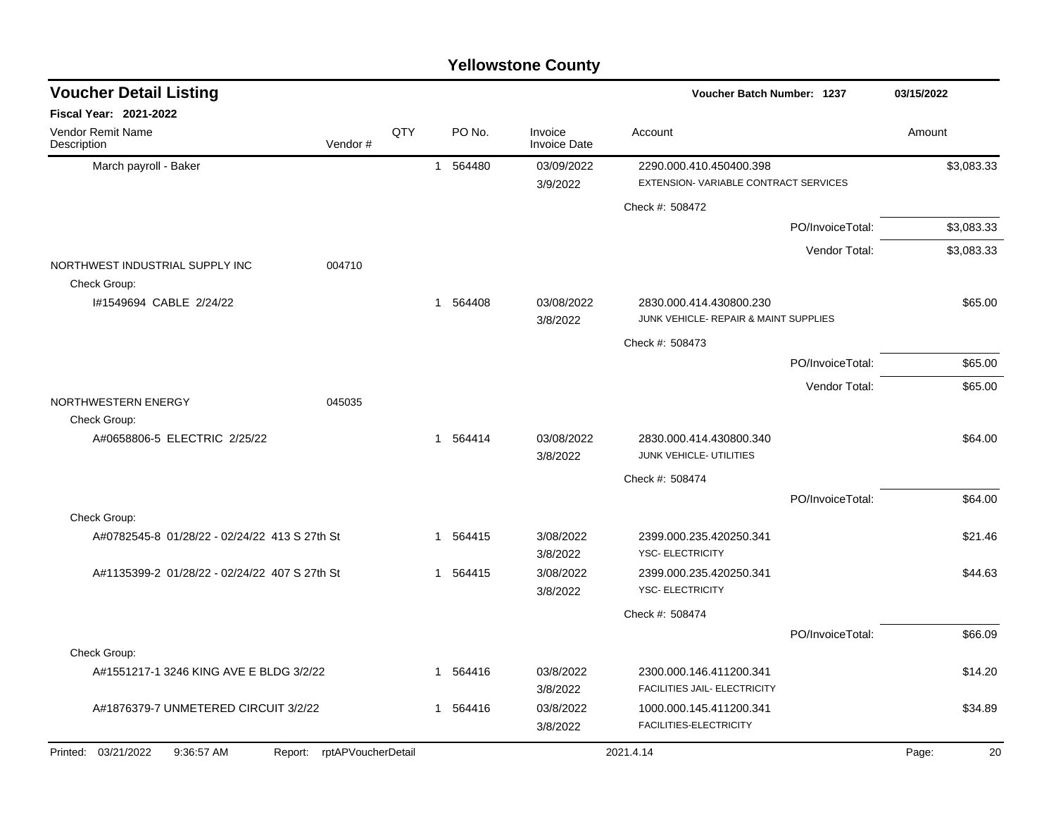| <b>Voucher Detail Listing</b>                   |                            |            |          |                                | <b>Voucher Batch Number: 1237</b>                                |                  | 03/15/2022  |
|-------------------------------------------------|----------------------------|------------|----------|--------------------------------|------------------------------------------------------------------|------------------|-------------|
| Fiscal Year: 2021-2022                          |                            |            |          |                                |                                                                  |                  |             |
| <b>Vendor Remit Name</b><br>Description         | Vendor#                    | <b>QTY</b> | PO No.   | Invoice<br><b>Invoice Date</b> | Account                                                          |                  | Amount      |
| March payroll - Baker                           |                            |            | 1 564480 | 03/09/2022<br>3/9/2022         | 2290.000.410.450400.398<br>EXTENSION-VARIABLE CONTRACT SERVICES  |                  | \$3,083.33  |
|                                                 |                            |            |          |                                | Check #: 508472                                                  |                  |             |
|                                                 |                            |            |          |                                |                                                                  | PO/InvoiceTotal: | \$3,083.33  |
|                                                 |                            |            |          |                                |                                                                  | Vendor Total:    | \$3,083.33  |
| NORTHWEST INDUSTRIAL SUPPLY INC<br>Check Group: | 004710                     |            |          |                                |                                                                  |                  |             |
| I#1549694 CABLE 2/24/22                         |                            |            | 1 564408 | 03/08/2022<br>3/8/2022         | 2830.000.414.430800.230<br>JUNK VEHICLE- REPAIR & MAINT SUPPLIES |                  | \$65.00     |
|                                                 |                            |            |          |                                | Check #: 508473                                                  |                  |             |
|                                                 |                            |            |          |                                |                                                                  | PO/InvoiceTotal: | \$65.00     |
|                                                 |                            |            |          |                                |                                                                  | Vendor Total:    | \$65.00     |
| NORTHWESTERN ENERGY                             | 045035                     |            |          |                                |                                                                  |                  |             |
| Check Group:                                    |                            |            |          |                                |                                                                  |                  |             |
| A#0658806-5 ELECTRIC 2/25/22                    |                            |            | 1 564414 | 03/08/2022<br>3/8/2022         | 2830.000.414.430800.340<br>JUNK VEHICLE- UTILITIES               |                  | \$64.00     |
|                                                 |                            |            |          |                                | Check #: 508474                                                  |                  |             |
|                                                 |                            |            |          |                                |                                                                  | PO/InvoiceTotal: | \$64.00     |
| Check Group:                                    |                            |            |          |                                |                                                                  |                  |             |
| A#0782545-8 01/28/22 - 02/24/22 413 S 27th St   |                            |            | 1 564415 | 3/08/2022<br>3/8/2022          | 2399.000.235.420250.341<br><b>YSC- ELECTRICITY</b>               |                  | \$21.46     |
| A#1135399-2 01/28/22 - 02/24/22 407 S 27th St   |                            |            | 1 564415 | 3/08/2022<br>3/8/2022          | 2399.000.235.420250.341<br><b>YSC- ELECTRICITY</b>               |                  | \$44.63     |
|                                                 |                            |            |          |                                | Check #: 508474                                                  |                  |             |
|                                                 |                            |            |          |                                |                                                                  | PO/InvoiceTotal: | \$66.09     |
| Check Group:                                    |                            |            |          |                                |                                                                  |                  |             |
| A#1551217-1 3246 KING AVE E BLDG 3/2/22         |                            |            | 1 564416 | 03/8/2022<br>3/8/2022          | 2300.000.146.411200.341<br>FACILITIES JAIL- ELECTRICITY          |                  | \$14.20     |
| A#1876379-7 UNMETERED CIRCUIT 3/2/22            |                            |            | 1 564416 | 03/8/2022                      | 1000.000.145.411200.341<br>FACILITIES-ELECTRICITY                |                  | \$34.89     |
|                                                 |                            |            |          | 3/8/2022                       |                                                                  |                  |             |
| Printed: 03/21/2022<br>9:36:57 AM               | Report: rptAPVoucherDetail |            |          |                                | 2021.4.14                                                        |                  | 20<br>Page: |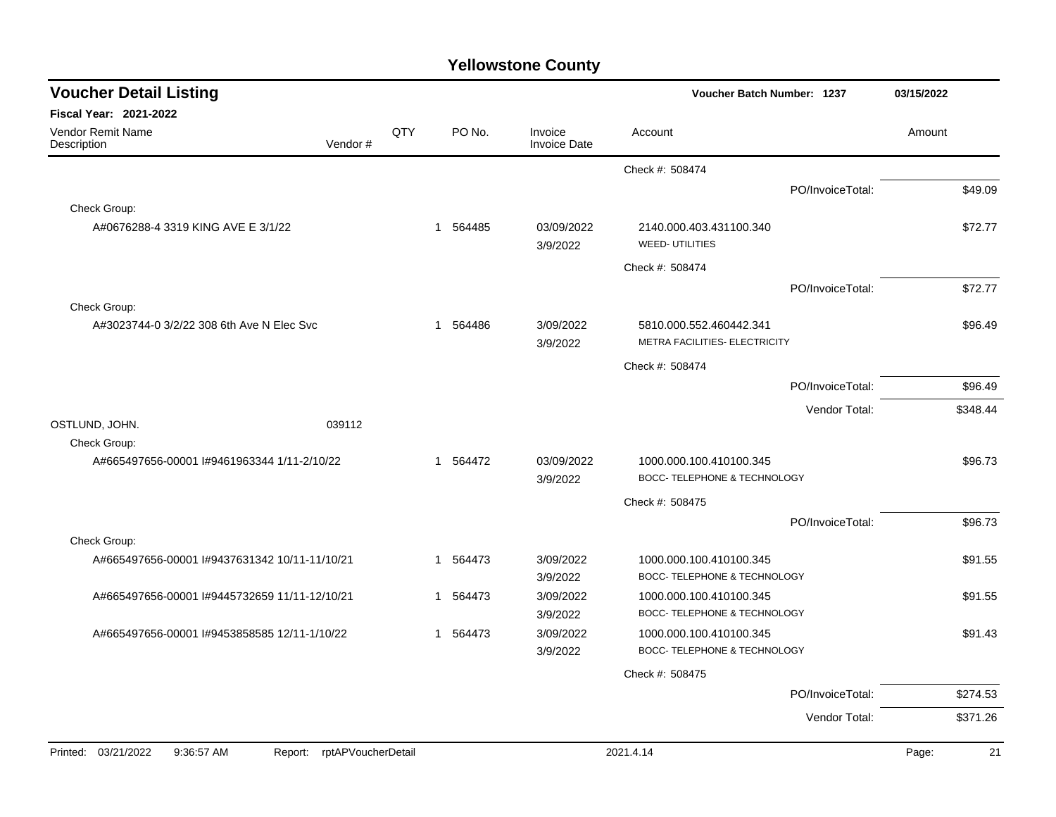| <b>Voucher Detail Listing</b>                 | Voucher Batch Number: 1237    |     | 03/15/2022               |                                |                                                          |                  |        |          |
|-----------------------------------------------|-------------------------------|-----|--------------------------|--------------------------------|----------------------------------------------------------|------------------|--------|----------|
| <b>Fiscal Year: 2021-2022</b>                 |                               |     |                          |                                |                                                          |                  |        |          |
| Vendor Remit Name<br>Description              | Vendor#                       | QTY | PO No.                   | Invoice<br><b>Invoice Date</b> | Account                                                  |                  | Amount |          |
|                                               |                               |     |                          |                                | Check #: 508474                                          |                  |        |          |
|                                               |                               |     |                          |                                |                                                          | PO/InvoiceTotal: |        | \$49.09  |
| Check Group:                                  |                               |     |                          |                                |                                                          |                  |        |          |
| A#0676288-4 3319 KING AVE E 3/1/22            |                               |     | 564485<br>1              | 03/09/2022<br>3/9/2022         | 2140.000.403.431100.340<br><b>WEED-UTILITIES</b>         |                  |        | \$72.77  |
|                                               |                               |     |                          |                                | Check #: 508474                                          |                  |        |          |
|                                               |                               |     |                          |                                |                                                          | PO/InvoiceTotal: |        | \$72.77  |
| Check Group:                                  |                               |     |                          |                                |                                                          |                  |        |          |
| A#3023744-0 3/2/22 308 6th Ave N Elec Svc     |                               |     | 564486<br>$\mathbf 1$    | 3/09/2022<br>3/9/2022          | 5810.000.552.460442.341<br>METRA FACILITIES- ELECTRICITY |                  |        | \$96.49  |
|                                               |                               |     |                          |                                | Check #: 508474                                          |                  |        |          |
|                                               |                               |     |                          |                                |                                                          | PO/InvoiceTotal: |        | \$96.49  |
|                                               |                               |     |                          |                                |                                                          | Vendor Total:    |        | \$348.44 |
| OSTLUND, JOHN.                                | 039112                        |     |                          |                                |                                                          |                  |        |          |
| Check Group:                                  |                               |     |                          |                                |                                                          |                  |        |          |
| A#665497656-00001 I#9461963344 1/11-2/10/22   |                               |     | 564472<br>$\overline{1}$ | 03/09/2022<br>3/9/2022         | 1000.000.100.410100.345<br>BOCC- TELEPHONE & TECHNOLOGY  |                  |        | \$96.73  |
|                                               |                               |     |                          |                                | Check #: 508475                                          |                  |        |          |
|                                               |                               |     |                          |                                |                                                          | PO/InvoiceTotal: |        | \$96.73  |
| Check Group:                                  |                               |     |                          |                                |                                                          |                  |        |          |
| A#665497656-00001 I#9437631342 10/11-11/10/21 |                               |     | 564473<br>$\mathbf 1$    | 3/09/2022<br>3/9/2022          | 1000.000.100.410100.345<br>BOCC- TELEPHONE & TECHNOLOGY  |                  |        | \$91.55  |
| A#665497656-00001 I#9445732659 11/11-12/10/21 |                               |     | 564473<br>1              | 3/09/2022<br>3/9/2022          | 1000.000.100.410100.345<br>BOCC- TELEPHONE & TECHNOLOGY  |                  |        | \$91.55  |
| A#665497656-00001 I#9453858585 12/11-1/10/22  |                               |     | 564473<br>1              | 3/09/2022                      | 1000.000.100.410100.345                                  |                  |        | \$91.43  |
|                                               |                               |     |                          | 3/9/2022                       | BOCC- TELEPHONE & TECHNOLOGY                             |                  |        |          |
|                                               |                               |     |                          |                                | Check #: 508475                                          |                  |        |          |
|                                               |                               |     |                          |                                |                                                          | PO/InvoiceTotal: |        | \$274.53 |
|                                               |                               |     |                          |                                |                                                          | Vendor Total:    |        | \$371.26 |
|                                               |                               |     |                          |                                |                                                          |                  |        |          |
| Printed: 03/21/2022<br>9:36:57 AM             | rptAPVoucherDetail<br>Report: |     |                          |                                | 2021.4.14                                                |                  | Page:  | 21       |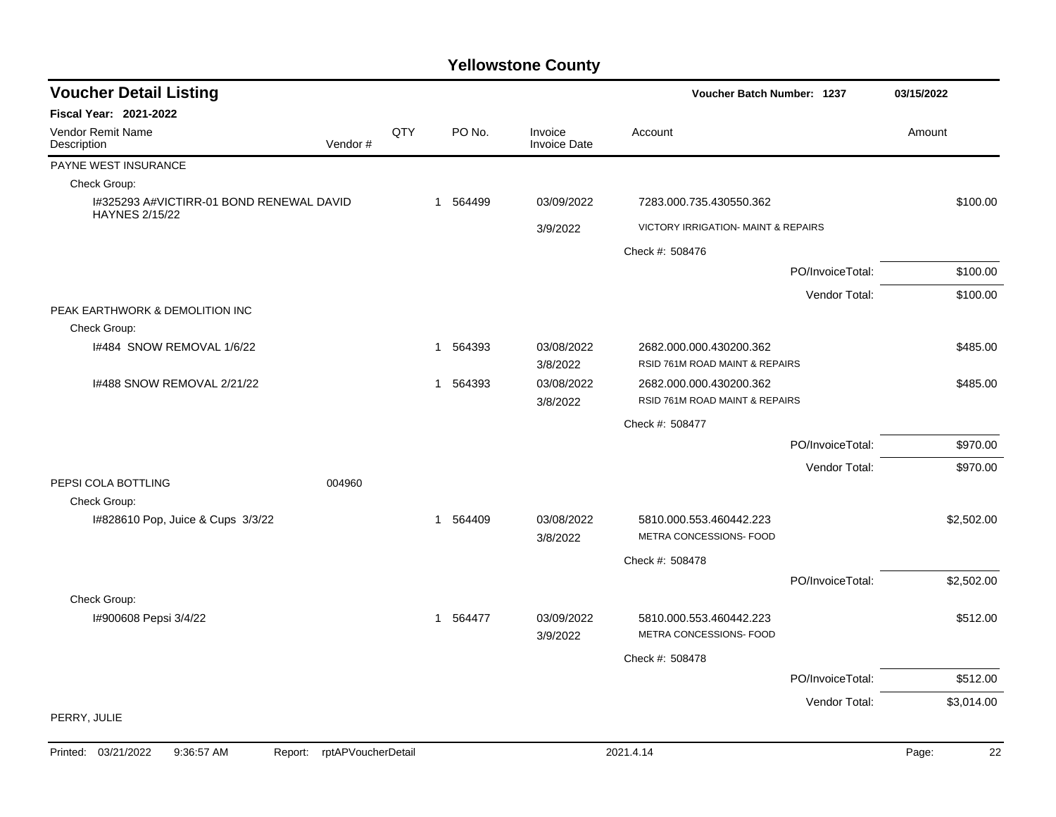| <b>Voucher Detail Listing</b>                                     |         |     |          |        |                                | <b>Voucher Batch Number: 1237</b>                  |                  | 03/15/2022 |  |
|-------------------------------------------------------------------|---------|-----|----------|--------|--------------------------------|----------------------------------------------------|------------------|------------|--|
| Fiscal Year: 2021-2022                                            |         |     |          |        |                                |                                                    |                  |            |  |
| Vendor Remit Name<br>Description                                  | Vendor# | QTY |          | PO No. | Invoice<br><b>Invoice Date</b> | Account                                            |                  | Amount     |  |
| PAYNE WEST INSURANCE                                              |         |     |          |        |                                |                                                    |                  |            |  |
| Check Group:                                                      |         |     |          |        |                                |                                                    |                  |            |  |
| I#325293 A#VICTIRR-01 BOND RENEWAL DAVID<br><b>HAYNES 2/15/22</b> |         |     | 1        | 564499 | 03/09/2022                     | 7283.000.735.430550.362                            |                  | \$100.00   |  |
|                                                                   |         |     |          |        | 3/9/2022                       | <b>VICTORY IRRIGATION- MAINT &amp; REPAIRS</b>     |                  |            |  |
|                                                                   |         |     |          |        |                                | Check #: 508476                                    |                  |            |  |
|                                                                   |         |     |          |        |                                |                                                    | PO/InvoiceTotal: | \$100.00   |  |
|                                                                   |         |     |          |        |                                |                                                    | Vendor Total:    | \$100.00   |  |
| PEAK EARTHWORK & DEMOLITION INC                                   |         |     |          |        |                                |                                                    |                  |            |  |
| Check Group:                                                      |         |     |          |        |                                |                                                    |                  |            |  |
| I#484 SNOW REMOVAL 1/6/22                                         |         |     | 1        | 564393 | 03/08/2022                     | 2682.000.000.430200.362                            |                  | \$485.00   |  |
|                                                                   |         |     |          |        | 3/8/2022                       | RSID 761M ROAD MAINT & REPAIRS                     |                  |            |  |
| 1#488 SNOW REMOVAL 2/21/22                                        |         |     | 1        | 564393 | 03/08/2022                     | 2682.000.000.430200.362                            |                  | \$485.00   |  |
|                                                                   |         |     |          |        | 3/8/2022                       | RSID 761M ROAD MAINT & REPAIRS                     |                  |            |  |
|                                                                   |         |     |          |        |                                | Check #: 508477                                    |                  |            |  |
|                                                                   |         |     |          |        |                                |                                                    | PO/InvoiceTotal: | \$970.00   |  |
|                                                                   |         |     |          |        |                                |                                                    | Vendor Total:    | \$970.00   |  |
| PEPSI COLA BOTTLING<br>Check Group:                               | 004960  |     |          |        |                                |                                                    |                  |            |  |
| 1#828610 Pop, Juice & Cups 3/3/22                                 |         |     | 1 564409 |        | 03/08/2022                     | 5810.000.553.460442.223                            |                  | \$2,502.00 |  |
|                                                                   |         |     |          |        | 3/8/2022                       | METRA CONCESSIONS- FOOD                            |                  |            |  |
|                                                                   |         |     |          |        |                                | Check #: 508478                                    |                  |            |  |
|                                                                   |         |     |          |        |                                |                                                    | PO/InvoiceTotal: | \$2,502.00 |  |
| Check Group:                                                      |         |     |          |        |                                |                                                    |                  |            |  |
| I#900608 Pepsi 3/4/22                                             |         |     | 1 564477 |        | 03/09/2022<br>3/9/2022         | 5810.000.553.460442.223<br>METRA CONCESSIONS- FOOD |                  | \$512.00   |  |
|                                                                   |         |     |          |        |                                | Check #: 508478                                    |                  |            |  |
|                                                                   |         |     |          |        |                                |                                                    | PO/InvoiceTotal: | \$512.00   |  |
|                                                                   |         |     |          |        |                                |                                                    |                  |            |  |
| PERRY, JULIE                                                      |         |     |          |        |                                |                                                    | Vendor Total:    | \$3,014.00 |  |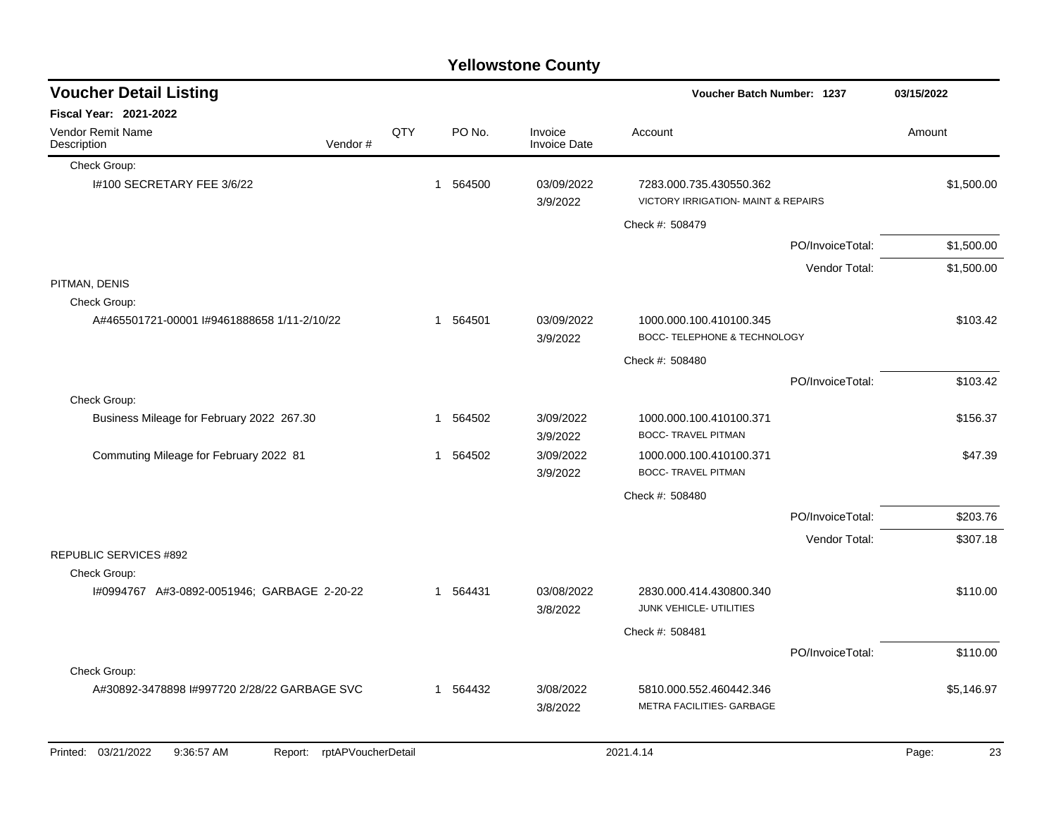| <b>Voucher Detail Listing</b>                |                    |     |          |                                | Voucher Batch Number: 1237                                                |                  | 03/15/2022  |
|----------------------------------------------|--------------------|-----|----------|--------------------------------|---------------------------------------------------------------------------|------------------|-------------|
| <b>Fiscal Year: 2021-2022</b>                |                    |     |          |                                |                                                                           |                  |             |
| Vendor Remit Name<br>Description             | Vendor#            | QTY | PO No.   | Invoice<br><b>Invoice Date</b> | Account                                                                   |                  | Amount      |
| Check Group:                                 |                    |     |          |                                |                                                                           |                  |             |
| I#100 SECRETARY FEE 3/6/22                   |                    |     | 1 564500 | 03/09/2022<br>3/9/2022         | 7283.000.735.430550.362<br><b>VICTORY IRRIGATION- MAINT &amp; REPAIRS</b> |                  | \$1,500.00  |
|                                              |                    |     |          |                                | Check #: 508479                                                           |                  |             |
|                                              |                    |     |          |                                |                                                                           | PO/InvoiceTotal: | \$1,500.00  |
|                                              |                    |     |          |                                |                                                                           | Vendor Total:    | \$1,500.00  |
| PITMAN, DENIS                                |                    |     |          |                                |                                                                           |                  |             |
| Check Group:                                 |                    |     |          |                                |                                                                           |                  |             |
| A#465501721-00001 I#9461888658 1/11-2/10/22  |                    |     | 1 564501 | 03/09/2022<br>3/9/2022         | 1000.000.100.410100.345<br>BOCC- TELEPHONE & TECHNOLOGY                   |                  | \$103.42    |
|                                              |                    |     |          |                                | Check #: 508480                                                           |                  |             |
|                                              |                    |     |          |                                |                                                                           | PO/InvoiceTotal: | \$103.42    |
| Check Group:                                 |                    |     |          |                                |                                                                           |                  |             |
| Business Mileage for February 2022 267.30    |                    |     | 1 564502 | 3/09/2022<br>3/9/2022          | 1000.000.100.410100.371<br><b>BOCC- TRAVEL PITMAN</b>                     |                  | \$156.37    |
| Commuting Mileage for February 2022 81       |                    |     | 1 564502 | 3/09/2022<br>3/9/2022          | 1000.000.100.410100.371<br><b>BOCC- TRAVEL PITMAN</b>                     |                  | \$47.39     |
|                                              |                    |     |          |                                | Check #: 508480                                                           |                  |             |
|                                              |                    |     |          |                                |                                                                           | PO/InvoiceTotal: | \$203.76    |
|                                              |                    |     |          |                                |                                                                           | Vendor Total:    | \$307.18    |
| <b>REPUBLIC SERVICES #892</b>                |                    |     |          |                                |                                                                           |                  |             |
| Check Group:                                 |                    |     |          |                                |                                                                           |                  |             |
| I#0994767 A#3-0892-0051946; GARBAGE 2-20-22  |                    |     | 1 564431 | 03/08/2022<br>3/8/2022         | 2830.000.414.430800.340<br>JUNK VEHICLE- UTILITIES                        |                  | \$110.00    |
|                                              |                    |     |          |                                | Check #: 508481                                                           |                  |             |
|                                              |                    |     |          |                                |                                                                           | PO/InvoiceTotal: | \$110.00    |
| Check Group:                                 |                    |     |          |                                |                                                                           |                  |             |
| A#30892-3478898 I#997720 2/28/22 GARBAGE SVC |                    |     | 1 564432 | 3/08/2022<br>3/8/2022          | 5810.000.552.460442.346<br>METRA FACILITIES- GARBAGE                      |                  | \$5,146.97  |
| Printed: 03/21/2022<br>9:36:57 AM<br>Report: | rptAPVoucherDetail |     |          |                                | 2021.4.14                                                                 |                  | Page:<br>23 |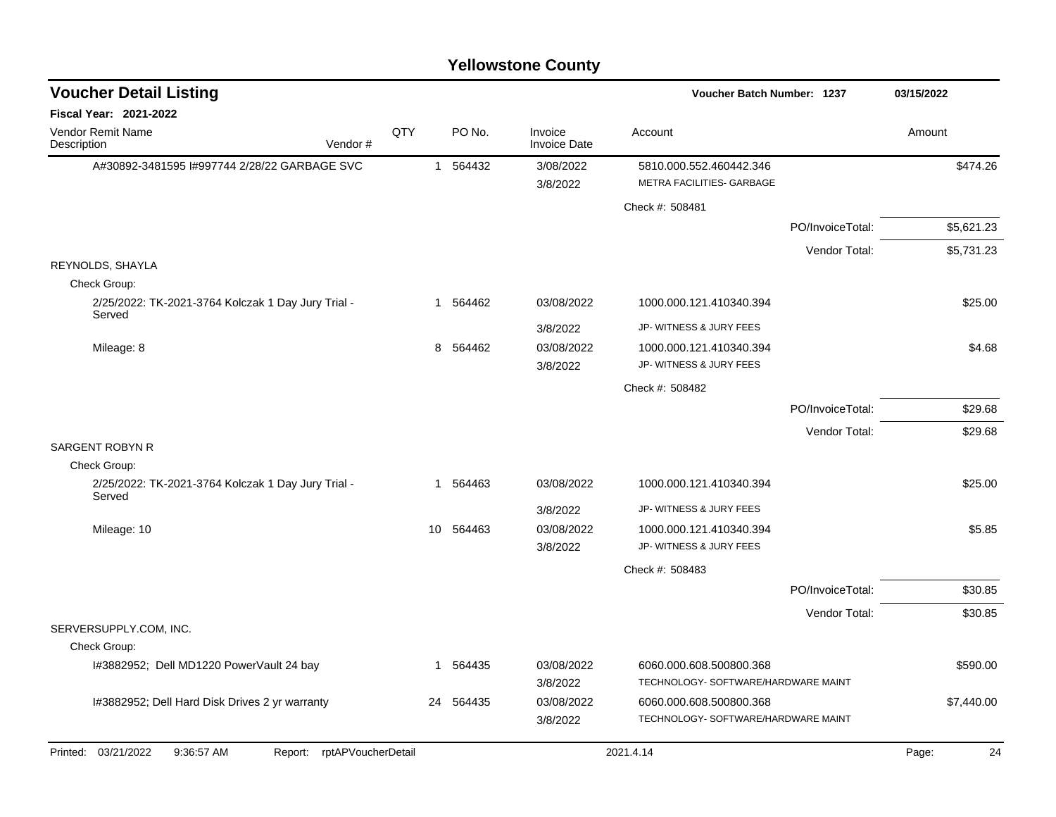| <b>Voucher Detail Listing</b>                                      |    |          |                                | Voucher Batch Number: 1237                                     | 03/15/2022       |             |
|--------------------------------------------------------------------|----|----------|--------------------------------|----------------------------------------------------------------|------------------|-------------|
| Fiscal Year: 2021-2022                                             |    |          |                                |                                                                |                  |             |
| QTY<br>Vendor Remit Name<br>Vendor#<br>Description                 |    | PO No.   | Invoice<br><b>Invoice Date</b> | Account                                                        |                  | Amount      |
| A#30892-3481595 I#997744 2/28/22 GARBAGE SVC                       |    | 1 564432 | 3/08/2022                      | 5810.000.552.460442.346                                        |                  | \$474.26    |
|                                                                    |    |          | 3/8/2022                       | METRA FACILITIES- GARBAGE                                      |                  |             |
|                                                                    |    |          |                                | Check #: 508481                                                |                  |             |
|                                                                    |    |          |                                |                                                                | PO/InvoiceTotal: | \$5,621.23  |
|                                                                    |    |          |                                |                                                                | Vendor Total:    | \$5,731.23  |
| REYNOLDS, SHAYLA<br>Check Group:                                   |    |          |                                |                                                                |                  |             |
| 2/25/2022: TK-2021-3764 Kolczak 1 Day Jury Trial -<br>Served       |    | 1 564462 | 03/08/2022                     | 1000.000.121.410340.394                                        |                  | \$25.00     |
|                                                                    |    |          | 3/8/2022                       | JP- WITNESS & JURY FEES                                        |                  |             |
| Mileage: 8                                                         | 8  | 564462   | 03/08/2022                     | 1000.000.121.410340.394                                        |                  | \$4.68      |
|                                                                    |    |          | 3/8/2022                       | JP- WITNESS & JURY FEES                                        |                  |             |
|                                                                    |    |          |                                | Check #: 508482                                                |                  |             |
|                                                                    |    |          |                                |                                                                | PO/InvoiceTotal: | \$29.68     |
|                                                                    |    |          |                                |                                                                | Vendor Total:    | \$29.68     |
| <b>SARGENT ROBYN R</b>                                             |    |          |                                |                                                                |                  |             |
| Check Group:<br>2/25/2022: TK-2021-3764 Kolczak 1 Day Jury Trial - |    | 1 564463 | 03/08/2022                     | 1000.000.121.410340.394                                        |                  | \$25.00     |
| Served                                                             |    |          |                                |                                                                |                  |             |
|                                                                    |    |          | 3/8/2022                       | JP- WITNESS & JURY FEES                                        |                  |             |
| Mileage: 10                                                        | 10 | 564463   | 03/08/2022<br>3/8/2022         | 1000.000.121.410340.394<br>JP- WITNESS & JURY FEES             |                  | \$5.85      |
|                                                                    |    |          |                                | Check #: 508483                                                |                  |             |
|                                                                    |    |          |                                |                                                                | PO/InvoiceTotal: | \$30.85     |
|                                                                    |    |          |                                |                                                                | Vendor Total:    | \$30.85     |
| SERVERSUPPLY.COM, INC.                                             |    |          |                                |                                                                |                  |             |
| Check Group:                                                       |    |          |                                |                                                                |                  |             |
| I#3882952; Dell MD1220 PowerVault 24 bay                           |    | 1 564435 | 03/08/2022                     | 6060.000.608.500800.368                                        |                  | \$590.00    |
|                                                                    |    |          | 3/8/2022                       | TECHNOLOGY- SOFTWARE/HARDWARE MAINT                            |                  |             |
| I#3882952; Dell Hard Disk Drives 2 yr warranty                     | 24 | 564435   | 03/08/2022<br>3/8/2022         | 6060.000.608.500800.368<br>TECHNOLOGY- SOFTWARE/HARDWARE MAINT |                  | \$7,440.00  |
| Printed: 03/21/2022<br>9:36:57 AM<br>rptAPVoucherDetail<br>Report: |    |          |                                | 2021.4.14                                                      |                  | Page:<br>24 |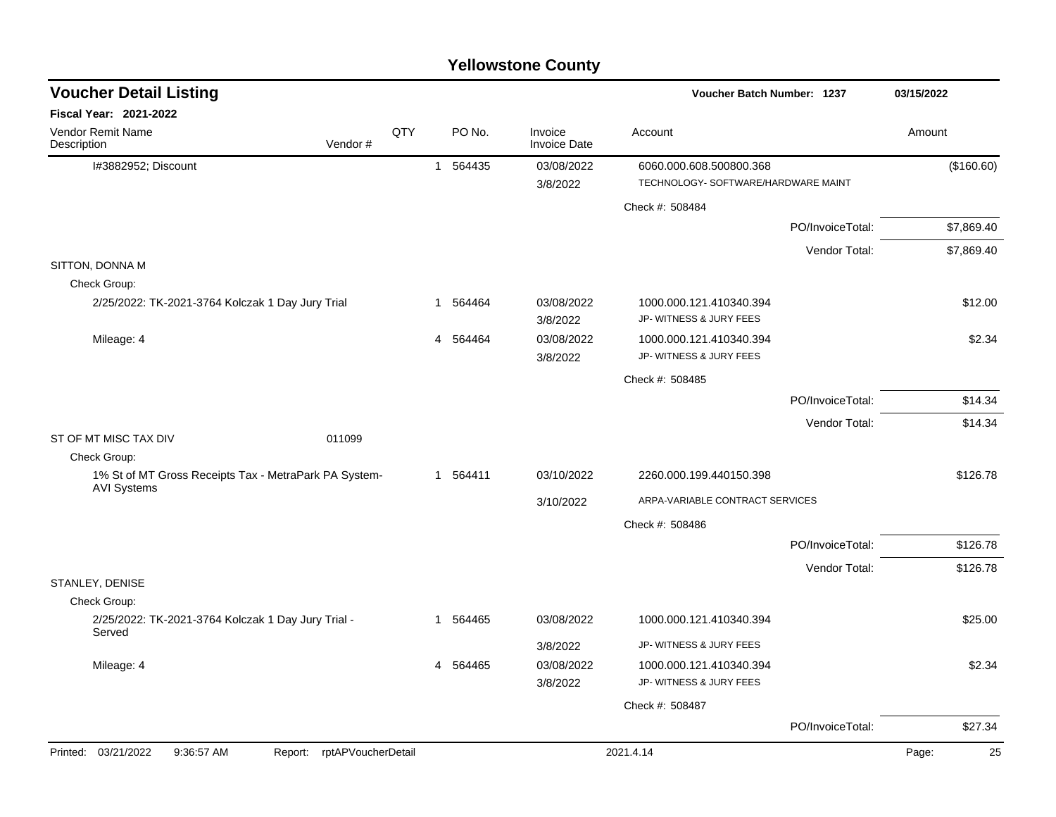|                                                                  |                            |     |    |          | <b>Yellowstone County</b>      |                                                    |                  |             |
|------------------------------------------------------------------|----------------------------|-----|----|----------|--------------------------------|----------------------------------------------------|------------------|-------------|
| <b>Voucher Detail Listing</b>                                    |                            |     |    |          |                                | Voucher Batch Number: 1237                         |                  | 03/15/2022  |
| Fiscal Year: 2021-2022                                           |                            |     |    |          |                                |                                                    |                  |             |
| Vendor Remit Name<br>Description                                 | Vendor#                    | QTY |    | PO No.   | Invoice<br><b>Invoice Date</b> | Account                                            |                  | Amount      |
| I#3882952; Discount                                              |                            |     | 1  | 564435   | 03/08/2022                     | 6060.000.608.500800.368                            |                  | (\$160.60)  |
|                                                                  |                            |     |    |          | 3/8/2022                       | TECHNOLOGY- SOFTWARE/HARDWARE MAINT                |                  |             |
|                                                                  |                            |     |    |          |                                | Check #: 508484                                    |                  |             |
|                                                                  |                            |     |    |          |                                |                                                    | PO/InvoiceTotal: | \$7,869.40  |
|                                                                  |                            |     |    |          |                                |                                                    | Vendor Total:    | \$7,869.40  |
| SITTON, DONNA M                                                  |                            |     |    |          |                                |                                                    |                  |             |
| Check Group:<br>2/25/2022: TK-2021-3764 Kolczak 1 Day Jury Trial |                            |     | 1. | 564464   | 03/08/2022<br>3/8/2022         | 1000.000.121.410340.394<br>JP- WITNESS & JURY FEES |                  | \$12.00     |
| Mileage: 4                                                       |                            |     |    | 4 564464 | 03/08/2022<br>3/8/2022         | 1000.000.121.410340.394<br>JP- WITNESS & JURY FEES |                  | \$2.34      |
|                                                                  |                            |     |    |          |                                | Check #: 508485                                    |                  |             |
|                                                                  |                            |     |    |          |                                |                                                    | PO/InvoiceTotal: | \$14.34     |
|                                                                  |                            |     |    |          |                                |                                                    | Vendor Total:    | \$14.34     |
| ST OF MT MISC TAX DIV<br>Check Group:                            | 011099                     |     |    |          |                                |                                                    |                  |             |
| 1% St of MT Gross Receipts Tax - MetraPark PA System-            |                            |     |    | 1 564411 | 03/10/2022                     | 2260.000.199.440150.398                            |                  | \$126.78    |
| <b>AVI Systems</b>                                               |                            |     |    |          | 3/10/2022                      | ARPA-VARIABLE CONTRACT SERVICES                    |                  |             |
|                                                                  |                            |     |    |          |                                | Check #: 508486                                    |                  |             |
|                                                                  |                            |     |    |          |                                |                                                    | PO/InvoiceTotal: | \$126.78    |
|                                                                  |                            |     |    |          |                                |                                                    | Vendor Total:    | \$126.78    |
| STANLEY, DENISE                                                  |                            |     |    |          |                                |                                                    |                  |             |
| Check Group:                                                     |                            |     |    |          |                                |                                                    |                  |             |
| 2/25/2022: TK-2021-3764 Kolczak 1 Day Jury Trial -<br>Served     |                            |     |    | 1 564465 | 03/08/2022                     | 1000.000.121.410340.394                            |                  | \$25.00     |
|                                                                  |                            |     |    |          | 3/8/2022                       | JP- WITNESS & JURY FEES                            |                  |             |
| Mileage: 4                                                       |                            |     |    | 4 564465 | 03/08/2022<br>3/8/2022         | 1000.000.121.410340.394<br>JP- WITNESS & JURY FEES |                  | \$2.34      |
|                                                                  |                            |     |    |          |                                | Check #: 508487                                    |                  |             |
|                                                                  |                            |     |    |          |                                |                                                    | PO/InvoiceTotal: | \$27.34     |
| Printed: 03/21/2022<br>9:36:57 AM                                | Report: rptAPVoucherDetail |     |    |          |                                | 2021.4.14                                          |                  | Page:<br>25 |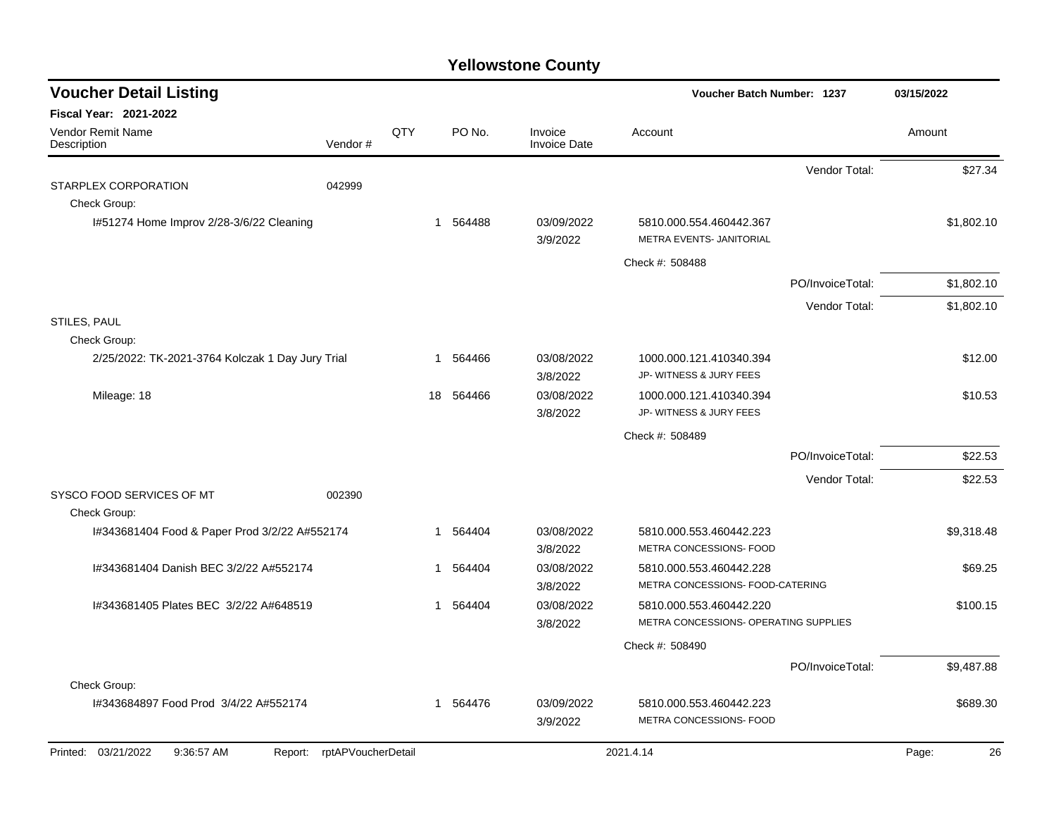| <b>Voucher Detail Listing</b>                                     |                    |     |          |                                | <b>Voucher Batch Number: 1237</b>                                |                  | 03/15/2022  |
|-------------------------------------------------------------------|--------------------|-----|----------|--------------------------------|------------------------------------------------------------------|------------------|-------------|
| Fiscal Year: 2021-2022<br><b>Vendor Remit Name</b><br>Description | Vendor#            | QTY | PO No.   | Invoice<br><b>Invoice Date</b> | Account                                                          |                  | Amount      |
| STARPLEX CORPORATION                                              | 042999             |     |          |                                |                                                                  | Vendor Total:    | \$27.34     |
| Check Group:<br>1#51274 Home Improv 2/28-3/6/22 Cleaning          |                    |     | 1 564488 | 03/09/2022                     | 5810.000.554.460442.367                                          |                  | \$1,802.10  |
|                                                                   |                    |     |          | 3/9/2022                       | METRA EVENTS- JANITORIAL                                         |                  |             |
|                                                                   |                    |     |          |                                | Check #: 508488                                                  |                  |             |
|                                                                   |                    |     |          |                                |                                                                  | PO/InvoiceTotal: | \$1,802.10  |
|                                                                   |                    |     |          |                                |                                                                  | Vendor Total:    | \$1,802.10  |
| STILES, PAUL<br>Check Group:                                      |                    |     |          |                                |                                                                  |                  |             |
| 2/25/2022: TK-2021-3764 Kolczak 1 Day Jury Trial                  |                    | -1  | 564466   | 03/08/2022                     | 1000.000.121.410340.394                                          |                  | \$12.00     |
|                                                                   |                    |     |          | 3/8/2022                       | JP- WITNESS & JURY FEES                                          |                  |             |
| Mileage: 18                                                       |                    | 18  | 564466   | 03/08/2022<br>3/8/2022         | 1000.000.121.410340.394<br>JP- WITNESS & JURY FEES               |                  | \$10.53     |
|                                                                   |                    |     |          |                                | Check #: 508489                                                  |                  |             |
|                                                                   |                    |     |          |                                |                                                                  | PO/InvoiceTotal: | \$22.53     |
|                                                                   |                    |     |          |                                |                                                                  | Vendor Total:    | \$22.53     |
| SYSCO FOOD SERVICES OF MT<br>Check Group:                         | 002390             |     |          |                                |                                                                  |                  |             |
| I#343681404 Food & Paper Prod 3/2/22 A#552174                     |                    | -1  | 564404   | 03/08/2022<br>3/8/2022         | 5810.000.553.460442.223<br>METRA CONCESSIONS- FOOD               |                  | \$9,318.48  |
| I#343681404 Danish BEC 3/2/22 A#552174                            |                    | 1   | 564404   | 03/08/2022<br>3/8/2022         | 5810.000.553.460442.228<br>METRA CONCESSIONS- FOOD-CATERING      |                  | \$69.25     |
| 1#343681405 Plates BEC 3/2/22 A#648519                            |                    | 1   | 564404   | 03/08/2022<br>3/8/2022         | 5810.000.553.460442.220<br>METRA CONCESSIONS- OPERATING SUPPLIES |                  | \$100.15    |
|                                                                   |                    |     |          |                                | Check #: 508490                                                  |                  |             |
|                                                                   |                    |     |          |                                |                                                                  | PO/InvoiceTotal: | \$9,487.88  |
| Check Group:                                                      |                    |     |          |                                |                                                                  |                  |             |
| I#343684897 Food Prod 3/4/22 A#552174                             |                    |     | 1 564476 | 03/09/2022<br>3/9/2022         | 5810.000.553.460442.223<br>METRA CONCESSIONS- FOOD               |                  | \$689.30    |
| Printed: 03/21/2022<br>9:36:57 AM<br>Report:                      | rptAPVoucherDetail |     |          |                                | 2021.4.14                                                        |                  | Page:<br>26 |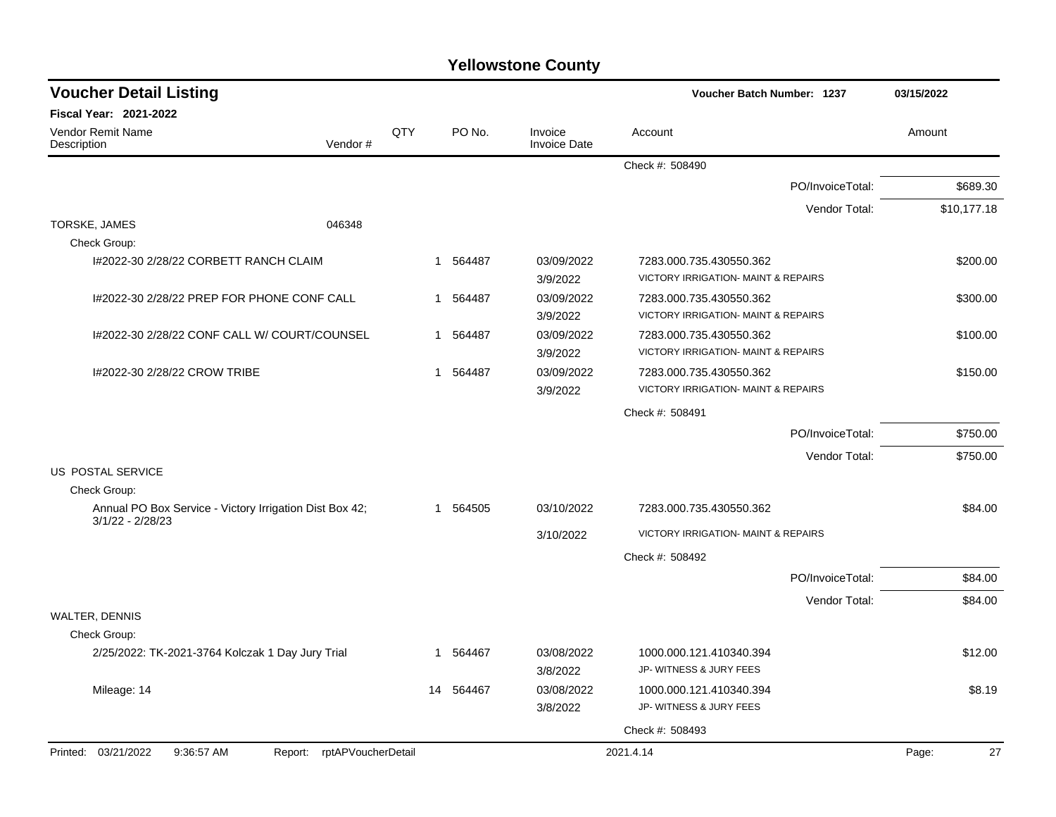| <b>Yellowstone County</b> |  |
|---------------------------|--|
|---------------------------|--|

| Fiscal Year: 2021-2022<br>QTY<br><b>Vendor Remit Name</b><br>PO No.<br>Invoice<br>Account<br>Amount<br>Vendor#<br><b>Invoice Date</b><br>Description<br>Check #: 508490<br>PO/InvoiceTotal:<br>Vendor Total:<br>TORSKE, JAMES<br>046348<br>Check Group:<br>03/09/2022<br>1#2022-30 2/28/22 CORBETT RANCH CLAIM<br>1 564487<br>7283.000.735.430550.362<br><b>VICTORY IRRIGATION- MAINT &amp; REPAIRS</b><br>3/9/2022<br>03/09/2022<br>1#2022-30 2/28/22 PREP FOR PHONE CONF CALL<br>564487<br>7283.000.735.430550.362<br>$\mathbf 1$<br>VICTORY IRRIGATION- MAINT & REPAIRS<br>3/9/2022<br>03/09/2022<br>I#2022-30 2/28/22 CONF CALL W/ COURT/COUNSEL<br>564487<br>7283.000.735.430550.362<br>1<br>VICTORY IRRIGATION- MAINT & REPAIRS<br>3/9/2022<br>03/09/2022<br>1#2022-30 2/28/22 CROW TRIBE<br>564487<br>7283.000.735.430550.362<br>$\mathbf{1}$<br><b>VICTORY IRRIGATION- MAINT &amp; REPAIRS</b><br>3/9/2022<br>Check #: 508491<br>PO/InvoiceTotal:<br>Vendor Total:<br>US POSTAL SERVICE<br>Check Group:<br>Annual PO Box Service - Victory Irrigation Dist Box 42;<br>1 564505<br>03/10/2022<br>\$84.00<br>7283.000.735.430550.362<br>$3/1/22 - 2/28/23$<br>3/10/2022<br>VICTORY IRRIGATION- MAINT & REPAIRS<br>Check #: 508492<br>PO/InvoiceTotal:<br>Vendor Total:<br>WALTER, DENNIS<br>Check Group:<br>2/25/2022: TK-2021-3764 Kolczak 1 Day Jury Trial<br>03/08/2022<br>1000.000.121.410340.394<br>\$12.00<br>1 564467<br>JP- WITNESS & JURY FEES<br>3/8/2022<br>03/08/2022<br>Mileage: 14<br>14 564467<br>1000.000.121.410340.394<br>JP- WITNESS & JURY FEES<br>3/8/2022<br>Check #: 508493<br>Printed: 03/21/2022<br>9:36:57 AM<br>Report: rptAPVoucherDetail<br>2021.4.14<br>Page: | <b>Voucher Detail Listing</b> |  |  | <b>Voucher Batch Number: 1237</b> | 03/15/2022  |
|---------------------------------------------------------------------------------------------------------------------------------------------------------------------------------------------------------------------------------------------------------------------------------------------------------------------------------------------------------------------------------------------------------------------------------------------------------------------------------------------------------------------------------------------------------------------------------------------------------------------------------------------------------------------------------------------------------------------------------------------------------------------------------------------------------------------------------------------------------------------------------------------------------------------------------------------------------------------------------------------------------------------------------------------------------------------------------------------------------------------------------------------------------------------------------------------------------------------------------------------------------------------------------------------------------------------------------------------------------------------------------------------------------------------------------------------------------------------------------------------------------------------------------------------------------------------------------------------------------------------------------------------------------------------------------------------------|-------------------------------|--|--|-----------------------------------|-------------|
|                                                                                                                                                                                                                                                                                                                                                                                                                                                                                                                                                                                                                                                                                                                                                                                                                                                                                                                                                                                                                                                                                                                                                                                                                                                                                                                                                                                                                                                                                                                                                                                                                                                                                                   |                               |  |  |                                   |             |
|                                                                                                                                                                                                                                                                                                                                                                                                                                                                                                                                                                                                                                                                                                                                                                                                                                                                                                                                                                                                                                                                                                                                                                                                                                                                                                                                                                                                                                                                                                                                                                                                                                                                                                   |                               |  |  |                                   |             |
|                                                                                                                                                                                                                                                                                                                                                                                                                                                                                                                                                                                                                                                                                                                                                                                                                                                                                                                                                                                                                                                                                                                                                                                                                                                                                                                                                                                                                                                                                                                                                                                                                                                                                                   |                               |  |  |                                   |             |
|                                                                                                                                                                                                                                                                                                                                                                                                                                                                                                                                                                                                                                                                                                                                                                                                                                                                                                                                                                                                                                                                                                                                                                                                                                                                                                                                                                                                                                                                                                                                                                                                                                                                                                   |                               |  |  |                                   | \$689.30    |
|                                                                                                                                                                                                                                                                                                                                                                                                                                                                                                                                                                                                                                                                                                                                                                                                                                                                                                                                                                                                                                                                                                                                                                                                                                                                                                                                                                                                                                                                                                                                                                                                                                                                                                   |                               |  |  |                                   | \$10,177.18 |
|                                                                                                                                                                                                                                                                                                                                                                                                                                                                                                                                                                                                                                                                                                                                                                                                                                                                                                                                                                                                                                                                                                                                                                                                                                                                                                                                                                                                                                                                                                                                                                                                                                                                                                   |                               |  |  |                                   |             |
|                                                                                                                                                                                                                                                                                                                                                                                                                                                                                                                                                                                                                                                                                                                                                                                                                                                                                                                                                                                                                                                                                                                                                                                                                                                                                                                                                                                                                                                                                                                                                                                                                                                                                                   |                               |  |  |                                   | \$200.00    |
|                                                                                                                                                                                                                                                                                                                                                                                                                                                                                                                                                                                                                                                                                                                                                                                                                                                                                                                                                                                                                                                                                                                                                                                                                                                                                                                                                                                                                                                                                                                                                                                                                                                                                                   |                               |  |  |                                   | \$300.00    |
|                                                                                                                                                                                                                                                                                                                                                                                                                                                                                                                                                                                                                                                                                                                                                                                                                                                                                                                                                                                                                                                                                                                                                                                                                                                                                                                                                                                                                                                                                                                                                                                                                                                                                                   |                               |  |  |                                   | \$100.00    |
|                                                                                                                                                                                                                                                                                                                                                                                                                                                                                                                                                                                                                                                                                                                                                                                                                                                                                                                                                                                                                                                                                                                                                                                                                                                                                                                                                                                                                                                                                                                                                                                                                                                                                                   |                               |  |  |                                   | \$150.00    |
|                                                                                                                                                                                                                                                                                                                                                                                                                                                                                                                                                                                                                                                                                                                                                                                                                                                                                                                                                                                                                                                                                                                                                                                                                                                                                                                                                                                                                                                                                                                                                                                                                                                                                                   |                               |  |  |                                   |             |
|                                                                                                                                                                                                                                                                                                                                                                                                                                                                                                                                                                                                                                                                                                                                                                                                                                                                                                                                                                                                                                                                                                                                                                                                                                                                                                                                                                                                                                                                                                                                                                                                                                                                                                   |                               |  |  |                                   | \$750.00    |
|                                                                                                                                                                                                                                                                                                                                                                                                                                                                                                                                                                                                                                                                                                                                                                                                                                                                                                                                                                                                                                                                                                                                                                                                                                                                                                                                                                                                                                                                                                                                                                                                                                                                                                   |                               |  |  |                                   | \$750.00    |
|                                                                                                                                                                                                                                                                                                                                                                                                                                                                                                                                                                                                                                                                                                                                                                                                                                                                                                                                                                                                                                                                                                                                                                                                                                                                                                                                                                                                                                                                                                                                                                                                                                                                                                   |                               |  |  |                                   |             |
|                                                                                                                                                                                                                                                                                                                                                                                                                                                                                                                                                                                                                                                                                                                                                                                                                                                                                                                                                                                                                                                                                                                                                                                                                                                                                                                                                                                                                                                                                                                                                                                                                                                                                                   |                               |  |  |                                   |             |
|                                                                                                                                                                                                                                                                                                                                                                                                                                                                                                                                                                                                                                                                                                                                                                                                                                                                                                                                                                                                                                                                                                                                                                                                                                                                                                                                                                                                                                                                                                                                                                                                                                                                                                   |                               |  |  |                                   |             |
|                                                                                                                                                                                                                                                                                                                                                                                                                                                                                                                                                                                                                                                                                                                                                                                                                                                                                                                                                                                                                                                                                                                                                                                                                                                                                                                                                                                                                                                                                                                                                                                                                                                                                                   |                               |  |  |                                   |             |
|                                                                                                                                                                                                                                                                                                                                                                                                                                                                                                                                                                                                                                                                                                                                                                                                                                                                                                                                                                                                                                                                                                                                                                                                                                                                                                                                                                                                                                                                                                                                                                                                                                                                                                   |                               |  |  |                                   |             |
|                                                                                                                                                                                                                                                                                                                                                                                                                                                                                                                                                                                                                                                                                                                                                                                                                                                                                                                                                                                                                                                                                                                                                                                                                                                                                                                                                                                                                                                                                                                                                                                                                                                                                                   |                               |  |  |                                   | \$84.00     |
|                                                                                                                                                                                                                                                                                                                                                                                                                                                                                                                                                                                                                                                                                                                                                                                                                                                                                                                                                                                                                                                                                                                                                                                                                                                                                                                                                                                                                                                                                                                                                                                                                                                                                                   |                               |  |  |                                   | \$84.00     |
|                                                                                                                                                                                                                                                                                                                                                                                                                                                                                                                                                                                                                                                                                                                                                                                                                                                                                                                                                                                                                                                                                                                                                                                                                                                                                                                                                                                                                                                                                                                                                                                                                                                                                                   |                               |  |  |                                   |             |
|                                                                                                                                                                                                                                                                                                                                                                                                                                                                                                                                                                                                                                                                                                                                                                                                                                                                                                                                                                                                                                                                                                                                                                                                                                                                                                                                                                                                                                                                                                                                                                                                                                                                                                   |                               |  |  |                                   |             |
|                                                                                                                                                                                                                                                                                                                                                                                                                                                                                                                                                                                                                                                                                                                                                                                                                                                                                                                                                                                                                                                                                                                                                                                                                                                                                                                                                                                                                                                                                                                                                                                                                                                                                                   |                               |  |  |                                   |             |
|                                                                                                                                                                                                                                                                                                                                                                                                                                                                                                                                                                                                                                                                                                                                                                                                                                                                                                                                                                                                                                                                                                                                                                                                                                                                                                                                                                                                                                                                                                                                                                                                                                                                                                   |                               |  |  |                                   | \$8.19      |
|                                                                                                                                                                                                                                                                                                                                                                                                                                                                                                                                                                                                                                                                                                                                                                                                                                                                                                                                                                                                                                                                                                                                                                                                                                                                                                                                                                                                                                                                                                                                                                                                                                                                                                   |                               |  |  |                                   |             |
|                                                                                                                                                                                                                                                                                                                                                                                                                                                                                                                                                                                                                                                                                                                                                                                                                                                                                                                                                                                                                                                                                                                                                                                                                                                                                                                                                                                                                                                                                                                                                                                                                                                                                                   |                               |  |  |                                   | 27          |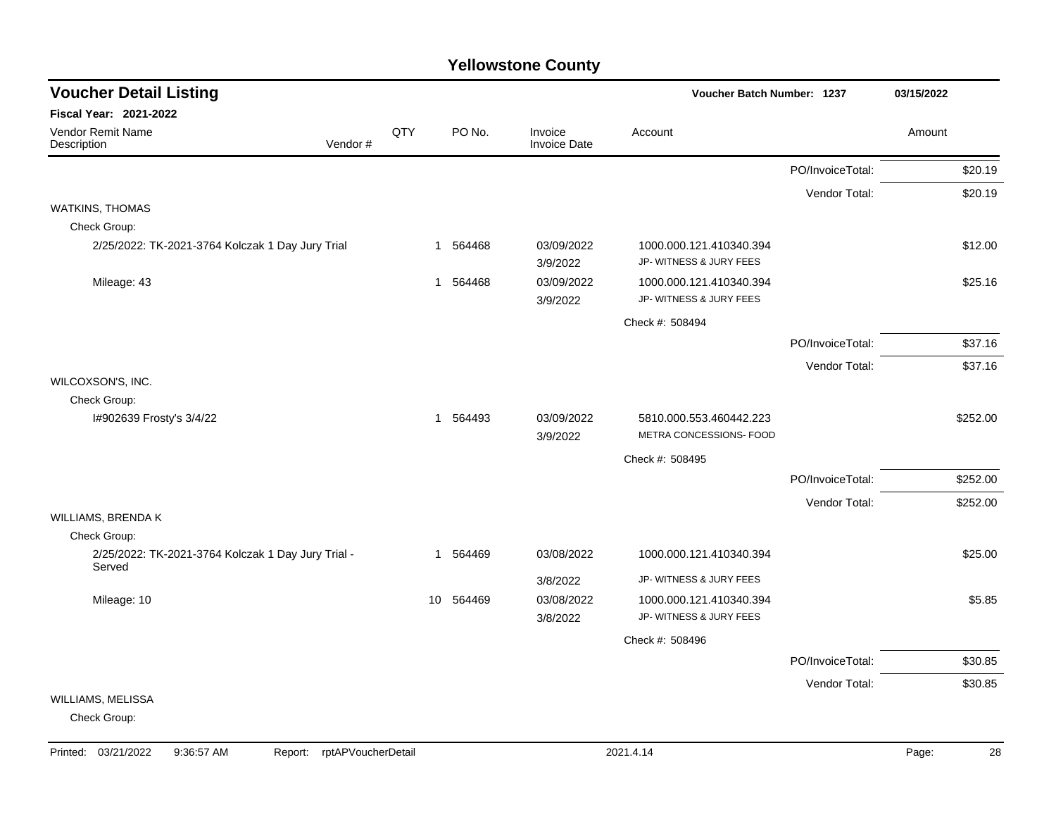| <b>Voucher Detail Listing</b>                                |         |                 |          |                                | <b>Voucher Batch Number: 1237</b>                  |                  | 03/15/2022 |
|--------------------------------------------------------------|---------|-----------------|----------|--------------------------------|----------------------------------------------------|------------------|------------|
| <b>Fiscal Year: 2021-2022</b>                                |         |                 |          |                                |                                                    |                  |            |
| Vendor Remit Name<br>Description                             | Vendor# | QTY             | PO No.   | Invoice<br><b>Invoice Date</b> | Account                                            |                  | Amount     |
|                                                              |         |                 |          |                                |                                                    | PO/InvoiceTotal: | \$20.19    |
|                                                              |         |                 |          |                                |                                                    | Vendor Total:    | \$20.19    |
| <b>WATKINS, THOMAS</b>                                       |         |                 |          |                                |                                                    |                  |            |
| Check Group:                                                 |         |                 |          |                                |                                                    |                  |            |
| 2/25/2022: TK-2021-3764 Kolczak 1 Day Jury Trial             |         |                 | 1 564468 | 03/09/2022<br>3/9/2022         | 1000.000.121.410340.394<br>JP- WITNESS & JURY FEES |                  | \$12.00    |
| Mileage: 43                                                  |         |                 | 1 564468 | 03/09/2022                     | 1000.000.121.410340.394                            |                  | \$25.16    |
|                                                              |         |                 |          | 3/9/2022                       | JP- WITNESS & JURY FEES                            |                  |            |
|                                                              |         |                 |          |                                | Check #: 508494                                    |                  |            |
|                                                              |         |                 |          |                                |                                                    | PO/InvoiceTotal: | \$37.16    |
|                                                              |         |                 |          |                                |                                                    | Vendor Total:    | \$37.16    |
| WILCOXSON'S, INC.                                            |         |                 |          |                                |                                                    |                  |            |
| Check Group:                                                 |         |                 |          |                                |                                                    |                  |            |
| I#902639 Frosty's 3/4/22                                     |         |                 | 1 564493 | 03/09/2022<br>3/9/2022         | 5810.000.553.460442.223<br>METRA CONCESSIONS- FOOD |                  | \$252.00   |
|                                                              |         |                 |          |                                | Check #: 508495                                    |                  |            |
|                                                              |         |                 |          |                                |                                                    | PO/InvoiceTotal: | \$252.00   |
|                                                              |         |                 |          |                                |                                                    | Vendor Total:    | \$252.00   |
| WILLIAMS, BRENDA K                                           |         |                 |          |                                |                                                    |                  |            |
| Check Group:                                                 |         |                 |          |                                |                                                    |                  |            |
| 2/25/2022: TK-2021-3764 Kolczak 1 Day Jury Trial -<br>Served |         |                 | 1 564469 | 03/08/2022                     | 1000.000.121.410340.394                            |                  | \$25.00    |
|                                                              |         |                 |          | 3/8/2022                       | JP- WITNESS & JURY FEES                            |                  |            |
| Mileage: 10                                                  |         | 10 <sup>°</sup> | 564469   | 03/08/2022                     | 1000.000.121.410340.394                            |                  | \$5.85     |
|                                                              |         |                 |          | 3/8/2022                       | JP- WITNESS & JURY FEES                            |                  |            |
|                                                              |         |                 |          |                                | Check #: 508496                                    |                  |            |
|                                                              |         |                 |          |                                |                                                    | PO/InvoiceTotal: | \$30.85    |
|                                                              |         |                 |          |                                |                                                    | Vendor Total:    | \$30.85    |
| WILLIAMS, MELISSA                                            |         |                 |          |                                |                                                    |                  |            |
| Check Group:                                                 |         |                 |          |                                |                                                    |                  |            |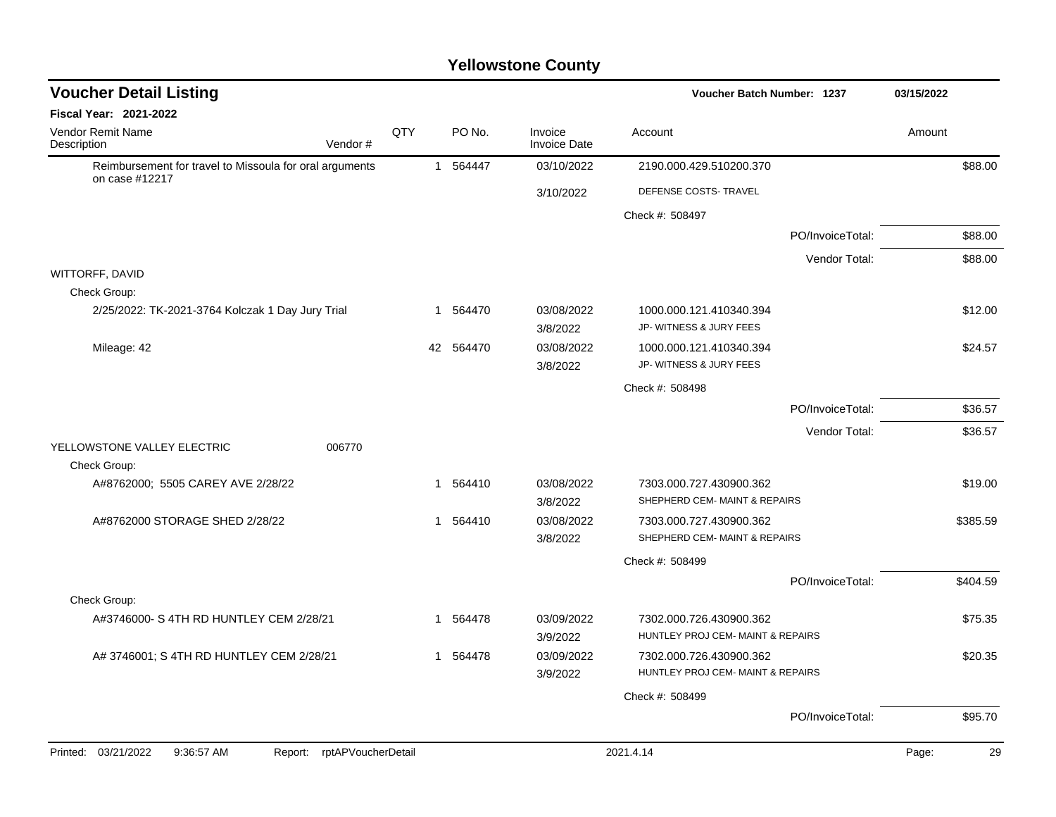| <b>Voucher Detail Listing</b>                                             |     |    |           |                                | Voucher Batch Number: 1237        | 03/15/2022       |        |          |
|---------------------------------------------------------------------------|-----|----|-----------|--------------------------------|-----------------------------------|------------------|--------|----------|
| Fiscal Year: 2021-2022                                                    |     |    |           |                                |                                   |                  |        |          |
| Vendor Remit Name<br>Vendor#<br>Description                               | QTY |    | PO No.    | Invoice<br><b>Invoice Date</b> | Account                           |                  | Amount |          |
| Reimbursement for travel to Missoula for oral arguments<br>on case #12217 |     |    | 1 564447  | 03/10/2022                     | 2190.000.429.510200.370           |                  |        | \$88.00  |
|                                                                           |     |    |           | 3/10/2022                      | DEFENSE COSTS- TRAVEL             |                  |        |          |
|                                                                           |     |    |           |                                | Check #: 508497                   |                  |        |          |
|                                                                           |     |    |           |                                |                                   | PO/InvoiceTotal: |        | \$88.00  |
|                                                                           |     |    |           |                                |                                   | Vendor Total:    |        | \$88.00  |
| WITTORFF, DAVID                                                           |     |    |           |                                |                                   |                  |        |          |
| Check Group:                                                              |     |    |           |                                |                                   |                  |        |          |
| 2/25/2022: TK-2021-3764 Kolczak 1 Day Jury Trial                          |     | -1 | 564470    | 03/08/2022                     | 1000.000.121.410340.394           |                  |        | \$12.00  |
|                                                                           |     |    |           | 3/8/2022                       | JP- WITNESS & JURY FEES           |                  |        |          |
| Mileage: 42                                                               |     |    | 42 564470 | 03/08/2022                     | 1000.000.121.410340.394           |                  |        | \$24.57  |
|                                                                           |     |    |           | 3/8/2022                       | JP- WITNESS & JURY FEES           |                  |        |          |
|                                                                           |     |    |           |                                | Check #: 508498                   |                  |        |          |
|                                                                           |     |    |           |                                |                                   | PO/InvoiceTotal: |        | \$36.57  |
|                                                                           |     |    |           |                                |                                   | Vendor Total:    |        | \$36.57  |
| YELLOWSTONE VALLEY ELECTRIC<br>006770                                     |     |    |           |                                |                                   |                  |        |          |
| Check Group:                                                              |     |    |           |                                |                                   |                  |        |          |
| A#8762000; 5505 CAREY AVE 2/28/22                                         |     |    | 1 564410  | 03/08/2022                     | 7303.000.727.430900.362           |                  |        | \$19.00  |
|                                                                           |     |    |           | 3/8/2022                       | SHEPHERD CEM- MAINT & REPAIRS     |                  |        |          |
| A#8762000 STORAGE SHED 2/28/22                                            |     |    | 1 564410  | 03/08/2022                     | 7303.000.727.430900.362           |                  |        | \$385.59 |
|                                                                           |     |    |           | 3/8/2022                       | SHEPHERD CEM- MAINT & REPAIRS     |                  |        |          |
|                                                                           |     |    |           |                                | Check #: 508499                   |                  |        |          |
|                                                                           |     |    |           |                                |                                   | PO/InvoiceTotal: |        | \$404.59 |
| Check Group:                                                              |     |    |           |                                |                                   |                  |        |          |
| A#3746000- S 4TH RD HUNTLEY CEM 2/28/21                                   |     | 1  | 564478    | 03/09/2022                     | 7302.000.726.430900.362           |                  |        | \$75.35  |
|                                                                           |     |    |           | 3/9/2022                       | HUNTLEY PROJ CEM- MAINT & REPAIRS |                  |        |          |
| A# 3746001; S 4TH RD HUNTLEY CEM 2/28/21                                  |     |    | 1 564478  | 03/09/2022                     | 7302.000.726.430900.362           |                  |        | \$20.35  |
|                                                                           |     |    |           | 3/9/2022                       | HUNTLEY PROJ CEM- MAINT & REPAIRS |                  |        |          |
|                                                                           |     |    |           |                                | Check #: 508499                   |                  |        |          |
|                                                                           |     |    |           |                                |                                   | PO/InvoiceTotal: |        | \$95.70  |
|                                                                           |     |    |           |                                |                                   |                  |        |          |
| Printed: 03/21/2022<br>Report: rptAPVoucherDetail<br>9:36:57 AM           |     |    |           |                                | 2021.4.14                         |                  | Page:  | 29       |